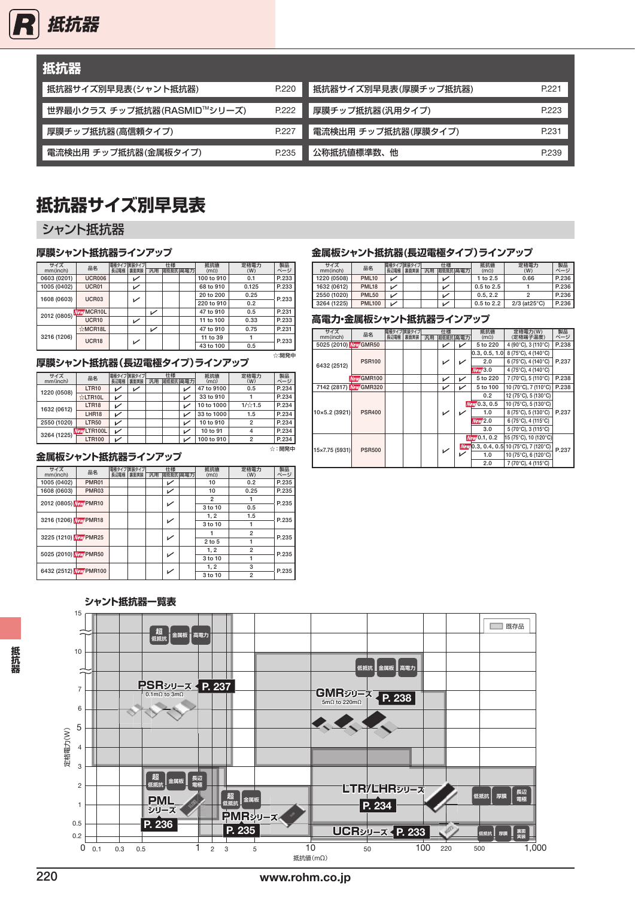

| 抵抗器                         |       |                      |       |
|-----------------------------|-------|----------------------|-------|
| 抵抗器サイズ別早見表(シャント抵抗器)         | P.220 | 抵抗器サイズ別早見表(厚膜チップ抵抗器) | P.221 |
| 世界最小クラス チップ抵抗器(RASMID™シリーズ) | P.222 | 厚膜チップ抵抗器(汎用タイプ)      | P.223 |
| 厚膜チップ抵抗器(高信頼タイプ)            | P.227 | 電流検出用 チップ抵抗器(厚膜タイプ)  | P.231 |
| 電流検出用 チップ抵抗器(金属板タイプ)        | P.235 | 公称抵抗値標準数、他           | P.239 |

### **抵抗器サイズ別早見表**

### シャント抵抗器

### **厚膜シャント抵抗器ラインアップ**

| サイズ         | 品名                |      | 電極タイプ実装タイプ   |    | 仕様      | 抵抗值         | 定格電力  | 製品    |
|-------------|-------------------|------|--------------|----|---------|-------------|-------|-------|
| mm(inch)    |                   | 長辺電極 | 裏面実装         | 汎用 | 超低抵抗高電力 | $(m\Omega)$ | (W)   | ページ   |
| 0603 (0201) | <b>UCR006</b>     |      | ↙            |    |         | 100 to 910  | 0.1   | P.233 |
| 1005 (0402) | UCR01             |      | $\checkmark$ |    |         | 68 to 910   | 0.125 | P.233 |
| 1608 (0603) | UCR03             |      |              |    |         | 20 to 200   | 0.25  | P.233 |
|             |                   |      | ↙            |    |         | 220 to 910  | 0.2   |       |
| 2012 (0805) | <b>New MCR10L</b> |      |              | ✓  |         | 47 to 910   | 0.5   | P.231 |
|             | <b>UCR10</b>      |      | ↙            |    |         | 11 to 100   | 0.33  | P.233 |
|             | ☆MCR18L           |      |              | ↙  |         | 47 to 910   | 0.75  | P.231 |
| 3216 (1206) | UCR18             |      |              |    |         | 11 to 39    |       | P.233 |
|             |                   |      | ↙            |    |         | 43 to 100   | 0.5   |       |
|             |                   |      |              |    |         |             |       | ☆:開発中 |

#### **厚膜シャント抵抗器(長辺電極タイプ)ラインアップ**

| サイズ<br>mm(inch) | 品名            | 長辺電極     | 電極タイプ実装タイプ<br>裏面実装 | 汎用 | 仕様 | 超低抵抗高電力 | 抵抗值<br>$(m\Omega)$ | 定格電力<br>(W)    | 製品    |
|-----------------|---------------|----------|--------------------|----|----|---------|--------------------|----------------|-------|
| 1220 (0508)     | <b>LTR10</b>  | v        |                    |    |    |         | 47 to 9100         | 0.5            | P.234 |
|                 | ☆LTR10L       | v        |                    |    |    | v       | 33 to 910          |                | P.234 |
| 1632 (0612)     | LTR18         | ↙        |                    |    |    | v       | 10 to 1000         | 1/☆1.5         | P.234 |
|                 | LHR18         | ↙        |                    |    |    |         | 33 to 1000         | 1.5            | P.234 |
| 2550 (1020)     | <b>LTR50</b>  | ↙        |                    |    |    | ↙       | 10 to 910          | $\overline{2}$ | P.234 |
| 3264 (1225)     | New LTR100L   | ↙        |                    |    |    | ↙       | 10 to 91           | 4              | P.234 |
|                 | <b>LTR100</b> |          |                    |    |    |         | 100 to 910         | $\overline{2}$ | P.234 |
|                 |               | - ------ |                    |    |    |         |                    |                | ☆:開発中 |

### **金属板シャント抵抗器ラインアップ**

| サイズ<br>mm(inch)        | 品名           | 電極タイプ実装タイプ<br>長辺電極 | 裏面実装 | 汎用 | 仕様<br>超低抵抗高電力 | 抵抗值<br>(m <sub>Ω</sub> ) | 定格電力<br>(W)    | 製品<br>ページ |
|------------------------|--------------|--------------------|------|----|---------------|--------------------------|----------------|-----------|
| 1005 (0402)            | <b>PMR01</b> |                    |      |    | ↙             | 10                       | 0.2            | P.235     |
| 1608 (0603)            | PMR03        |                    |      |    | ↙             | 10                       | 0.25           | P.235     |
| 2012 (0805) New PMR10  |              |                    |      |    | ✓             | $\overline{2}$           |                | P.235     |
|                        |              |                    |      |    |               | 3 to 10                  | 0.5            |           |
| 3216 (1206) New PMR18  |              |                    |      |    | ✓             | 1, 2                     | 1.5            | P.235     |
|                        |              |                    |      |    |               | 3 to 10                  |                |           |
| 3225 (1210) New PMR25  |              |                    |      |    | ✓             |                          | $\overline{2}$ | P.235     |
|                        |              |                    |      |    |               | 2 to 5                   |                |           |
| 5025 (2010) New PMR50  |              |                    |      |    |               | 1.2                      | $\overline{2}$ | P.235     |
|                        |              |                    |      |    | ✓             | 3 to 10                  |                |           |
| 6432 (2512) New PMR100 |              |                    |      |    | ✓             | 1.2                      | 3              | P.235     |
|                        |              |                    |      |    |               | 3 to 10                  | $\overline{2}$ |           |

### **金属板シャント抵抗器(長辺電極タイプ)ラインアップ**

| サイズ<br>mm(inch) | 品名            | 長辺電極 | 電極タイプ実装タイプ<br>裏面実装 | 汎用 | 仕様<br>超低抵抗高電力 | 抵抗值<br>$(m\Omega)$ | 定格電力<br>(W)               | 製品<br>ページ |
|-----------------|---------------|------|--------------------|----|---------------|--------------------|---------------------------|-----------|
| 1220 (0508)     | <b>PML10</b>  |      |                    |    |               | 1 to 2.5           | 0.66                      | P.236     |
|                 |               |      |                    |    |               |                    |                           |           |
| 1632 (0612)     | <b>PML18</b>  |      |                    |    |               | 0.5 to 2.5         |                           | P.236     |
| 2550 (1020)     | <b>PML50</b>  |      |                    |    |               | 0.5.2.2            |                           | P.236     |
| 3264 (1225)     | <b>PML100</b> |      |                    |    |               | $0.5$ to $2.2$     | $2/3$ (at $25^{\circ}$ C) | P.236     |

#### **高電力・金属板シャント抵抗器ラインアップ**

| サイズ<br>mm(inch)        | 品名            | 電極タイプ実装タイプ<br>長辺電極 | 裏面実装 | 汎用 | 仕様<br>超低抵抗高電力 |   | 抵抗值<br>$(m\Omega)$ | 定格電力(W)<br>(定格端子温度)                    | 製品<br>ページ |
|------------------------|---------------|--------------------|------|----|---------------|---|--------------------|----------------------------------------|-----------|
| 5025 (2010) New GMR50  |               |                    |      |    | ↙             | ↙ | 5 to 220           | 4 (90°C), 3 (110°C)                    | P.238     |
|                        |               |                    |      |    |               |   | 0.3, 0.5, 1.0      | 8 (75°C), 4 (140°C)                    |           |
| 6432 (2512)            | <b>PSR100</b> |                    |      |    |               |   | 2.0                | 6 (75°C), 4 (140°C)                    | P.237     |
|                        |               |                    |      |    |               |   | <b>New</b> 3.0     | 4 (75°C), 4 (140°C)                    |           |
|                        | New GMR100    |                    |      |    | ↙             | ↙ | 5 to 220           | 7 (70°C), 5 (110°C)                    | P.238     |
| 7142 (2817) New GMR320 |               |                    |      |    | ↙             | ✓ | 5 to 100           | 10 (70°C), 7 (110°C)                   | P.238     |
|                        |               |                    |      |    |               |   | 0.2                | 12 (75°C), 5 (130°C)                   |           |
|                        |               |                    |      |    |               |   | New 0.3, 0.5       | 10 (75°C), 5 (130°C)                   |           |
| 10×5.2 (3921)          | <b>PSR400</b> |                    |      |    |               |   | 1.0                | 8 (75°C), 5 (130°C)                    | P.237     |
|                        |               |                    |      |    |               |   | New <sub>2.0</sub> | 6 (75°C), 4 (115°C)                    |           |
|                        |               |                    |      |    |               |   | 3.0                | 5 (70°C), 3 (115°C)                    |           |
|                        |               |                    |      |    |               |   | New 0.1, 0.2       | 15 (75°C), 10 (120°C)                  |           |
|                        | <b>PSR500</b> |                    |      |    |               |   |                    | Mew 0.3, 0.4, 0.5 10 (75°C), 7 (120°C) | P.237     |
| 15×7.75 (5931)         |               |                    |      |    | ↙             |   | 1.0                | 10 (75°C), 6 (120°C)                   |           |
|                        |               |                    |      |    |               |   | 2.0                | 7 (70°C), 4 (115°C)                    |           |

### 15 **超 低抵抗 金属板 高電力**



**抵抗器**

抵抗器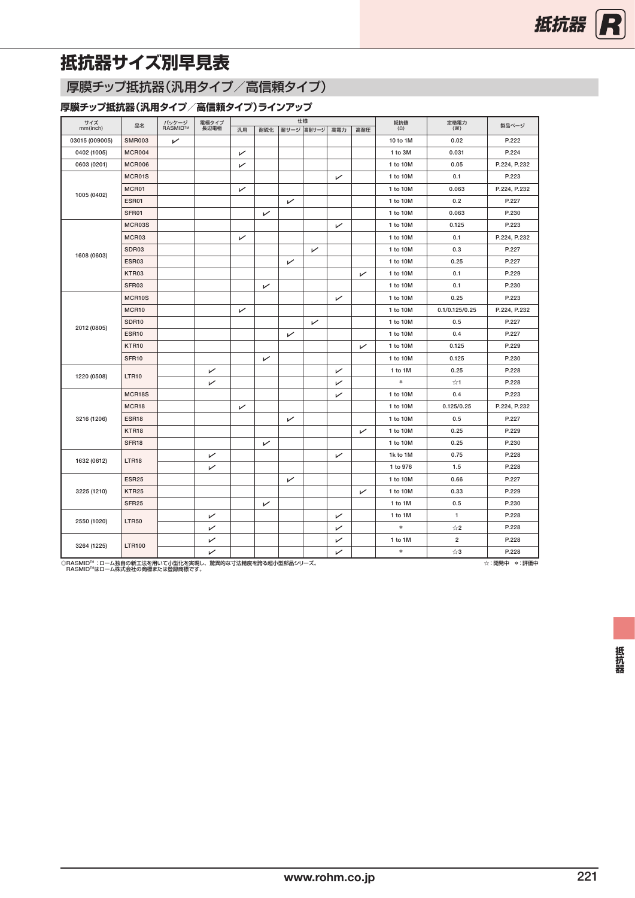## <span id="page-1-0"></span>**抵抗器サイズ別早見表**

### 厚膜チップ抵抗器(汎用タイプ/高信頼タイプ)

### **厚膜チップ抵抗器(汎用タイプ/高信頼タイプ)ラインアップ**

| サイズ<br>mm(inch) | 品名                | パッケージ<br>RASMID™ | 電極タイプ<br>長辺電極 | 仕様 |     | 抵抗値 $\overset{\text{fft}}{(\Omega)}$ | 定格電力<br>(W) | 製品ページ |     |               |                |              |
|-----------------|-------------------|------------------|---------------|----|-----|--------------------------------------|-------------|-------|-----|---------------|----------------|--------------|
|                 |                   |                  |               | 汎用 | 耐硫化 |                                      | 耐サージ 高耐サージ  | 高電力   | 高耐圧 |               |                |              |
| 03015 (009005)  | <b>SMR003</b>     | ↙                |               |    |     |                                      |             |       |     | 10 to 1M      | 0.02           | P.222        |
| 0402 (1005)     | <b>MCR004</b>     |                  |               | ↙  |     |                                      |             |       |     | 1 to 3M       | 0.031          | P.224        |
| 0603 (0201)     | MCR006            |                  |               | ↙  |     |                                      |             |       |     | 1 to 10M      | 0.05           | P.224, P.232 |
|                 | MCR01S            |                  |               |    |     |                                      |             | ↙     |     | 1 to 10M      | 0.1            | P.223        |
| 1005 (0402)     | MCR01             |                  |               | ↙  |     |                                      |             |       |     | 1 to 10M      | 0.063          | P.224, P.232 |
|                 | ESR01             |                  |               |    |     | ↙                                    |             |       |     | 1 to 10M      | 0.2            | P.227        |
|                 | SFR01             |                  |               |    | ↙   |                                      |             |       |     | 1 to 10M      | 0.063          | P.230        |
|                 | MCR03S            |                  |               |    |     |                                      |             | ↙     |     | 1 to 10M      | 0.125          | P.223        |
|                 | MCR03             |                  |               | ↙  |     |                                      |             |       |     | 1 to 10M      | 0.1            | P.224, P.232 |
|                 | SDR03             |                  |               |    |     |                                      | ↙           |       |     | 1 to 10M      | 0.3            | P.227        |
| 1608 (0603)     | ESR03             |                  |               |    |     | ↙                                    |             |       |     | 1 to 10M      | 0.25           | P.227        |
|                 | KTR03             |                  |               |    |     |                                      |             |       | ↙   | 1 to 10M      | 0.1            | P.229        |
|                 | SFR03             |                  |               |    | ↙   |                                      |             |       |     | 1 to 10M      | 0.1            | P.230        |
|                 | MCR10S            |                  |               |    |     |                                      |             | ↙     |     | 1 to 10M      | 0.25           | P.223        |
|                 | MCR10             |                  |               | ↙  |     |                                      |             |       |     | 1 to 10M      | 0.1/0.125/0.25 | P.224, P.232 |
|                 | <b>SDR10</b>      |                  |               |    |     |                                      | ↙           |       |     | 1 to 10M      | 0.5            | P.227        |
| 2012 (0805)     | <b>ESR10</b>      |                  |               |    |     | ↙                                    |             |       |     | 1 to 10M      | 0.4            | P.227        |
|                 | KTR10             |                  |               |    |     |                                      |             |       | ↙   | 1 to 10M      | 0.125          | P.229        |
|                 | SFR10             |                  |               |    | ↙   |                                      |             |       |     | 1 to 10M      | 0.125          | P.230        |
|                 |                   |                  | ↙             |    |     |                                      |             | ↙     |     | 1 to 1M       | 0.25           | P.228        |
| 1220 (0508)     | <b>LTR10</b>      |                  | ↙             |    |     |                                      |             | ↙     |     | $\frac{1}{2}$ | $\approx 1$    | P.228        |
|                 | MCR18S            |                  |               |    |     |                                      |             | ↙     |     | 1 to 10M      | 0.4            | P.223        |
|                 | MCR18             |                  |               | ↙  |     |                                      |             |       |     | 1 to 10M      | 0.125/0.25     | P.224, P.232 |
| 3216 (1206)     | ESR <sub>18</sub> |                  |               |    |     | ↙                                    |             |       |     | 1 to 10M      | 0.5            | P.227        |
|                 | KTR18             |                  |               |    |     |                                      |             |       | ↙   | 1 to 10M      | 0.25           | P.229        |
|                 | SFR <sub>18</sub> |                  |               |    | ↙   |                                      |             |       |     | 1 to 10M      | 0.25           | P.230        |
|                 |                   |                  | ↙             |    |     |                                      |             | ↙     |     | 1k to 1M      | 0.75           | P.228        |
| 1632 (0612)     | LTR18             |                  | ↙             |    |     |                                      |             |       |     | 1 to 976      | 1.5            | P.228        |
|                 | <b>ESR25</b>      |                  |               |    |     | ↙                                    |             |       |     | 1 to 10M      | 0.66           | P.227        |
| 3225 (1210)     | KTR25             |                  |               |    |     |                                      |             |       | ↙   | 1 to 10M      | 0.33           | P.229        |
|                 | SFR <sub>25</sub> |                  |               |    | ↙   |                                      |             |       |     | 1 to 1M       | 0.5            | P.230        |
|                 |                   |                  | ↙             |    |     |                                      |             | ↙     |     | 1 to 1M       | $\mathbf{1}$   | P.228        |
| 2550 (1020)     | <b>LTR50</b>      |                  | ↙             |    |     |                                      |             | ↙     |     | $\ast$        | ☆2             | P.228        |
|                 |                   |                  | ↙             |    |     |                                      |             | ↙     |     | 1 to 1M       | $\overline{2}$ | P.228        |
| 3264 (1225)     | <b>LTR100</b>     |                  | ↙             |    |     |                                      |             | ↙     |     | $\ast$        | ☆3             | P.228        |

◎RASMID™:ローム独自の新工法を用いて小型化を実現し、驚異的な寸法精度を誇る超小型部品シリーズ。<br>| RASMID™はローム株式会社の商標または登録商標です。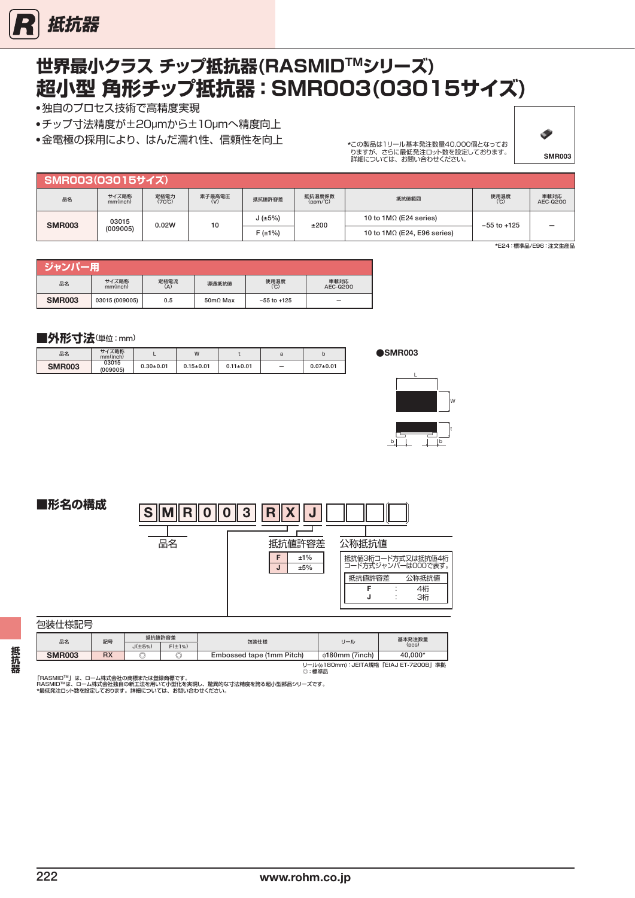<span id="page-2-0"></span>

# **超小型 角形チップ抵抗器:SMR003(03015サイズ) 世界最小クラス チップ抵抗器(RASMIDTMシリーズ)**

● 独自のプロセス技術で高精度実現

● チップ寸法精度が±20µmから±10µmへ精度向上

● 金電極の採用により、はんだ濡れ性、信頼性を向上



\*この製品は1リール基本発注数量40,000個となってお りますが、さらに最低発注ロット数を設定しております。 詳細については、お問い合わせください。

| SMR003(03015サイズ) |                   |                                |               |              |                      |                                    |                 |                  |  |  |
|------------------|-------------------|--------------------------------|---------------|--------------|----------------------|------------------------------------|-----------------|------------------|--|--|
| 品名               | サイズ略称<br>mm(inch) | 定格電力<br>$(70^{\circ}\text{C})$ | 素子最高電圧<br>(V) | 抵抗値許容差       | 抵抗温度係数<br>$(ppm/^c)$ | 抵抗値範囲                              | 使用温度<br>(C)     | 車載対応<br>AEC-Q200 |  |  |
| <b>SMR003</b>    | 03015             | 0.02W                          | 10            | J(±5%)       | ±200                 | 10 to $1M\Omega$ (E24 series)      | $-55$ to $+125$ | -                |  |  |
|                  | (009005)          |                                |               | $F(\pm 1\%)$ |                      | 10 to $1M\Omega$ (E24, E96 series) |                 |                  |  |  |

\*E24:標準品/E96:注文生産品

| ジャンパー用        |                   |             |                         |                 |                  |
|---------------|-------------------|-------------|-------------------------|-----------------|------------------|
| 品名            | サイズ略称<br>mm(inch) | 定格電流<br>(A) | 導通抵抗値                   | 使用温度<br>(C)     | 車載対応<br>AEC-Q200 |
| <b>SMR003</b> | 03015 (009005)    | 0.5         | $50 \text{m}\Omega$ Max | $-55$ to $+125$ | -                |

#### **■外形寸法**(単位:mm)

| 品名            | サイズ略称<br>mm(inch) |                 | W               |                 |   |               |
|---------------|-------------------|-----------------|-----------------|-----------------|---|---------------|
| <b>SMR003</b> | 03015<br>(009005) | $0.30 \pm 0.01$ | $0.15 \pm 0.01$ | $0.11 \pm 0.01$ | - | $0.07 + 0.01$ |

**●**SMR003



**■形名の構成**  $S$  M R O 0 0 3 R X J  $\overline{1}$ 品名 抵抗値許容差 公称抵抗値  $F \quad \pm 1\%$ 抵抗値3桁コード方式又は抵抗値4桁 コード方式ジャンパーは000で表す。  $J \neq 5\%$ 抵抗値許容差 公称抵抗値 F 4桁 : J 3桁 :

#### 包装仕様記号

|               | 抵抗値許容差<br>品名<br>記号 |              | 包装仕様         | リール                       | 基本発注数量               |                                                     |  |
|---------------|--------------------|--------------|--------------|---------------------------|----------------------|-----------------------------------------------------|--|
|               |                    | $J(\pm 5\%)$ | $F(\pm 1\%)$ |                           |                      | (DCS)                                               |  |
| <b>SMR003</b> | <b>DV</b><br>nΛ    | ⊵            | ⊵            | Embossed tape (1mm Pitch) | $\phi$ 180mm (7inch) | 40.000*                                             |  |
|               |                    |              |              |                           |                      | <b>II II./:100mm\: IEITA相枚 FEIA I ET 7000D L 维抛</b> |  |

リール(<sub>♦</sub>180mm):JEITA規格「EIAJ ET-7200B」準拠<br>◎ : 標準品

「RASMID™」は、ローム株式会社の商標または登録商標です。<br>RASMID™」は、ローム株式会社独自の新工法を用いて小型化を実現し、驚異的な寸法精度を誇る超小型部品シリーズです。<br>\*最低発注ロット数を設定しております。詳細については、お問い合わせください。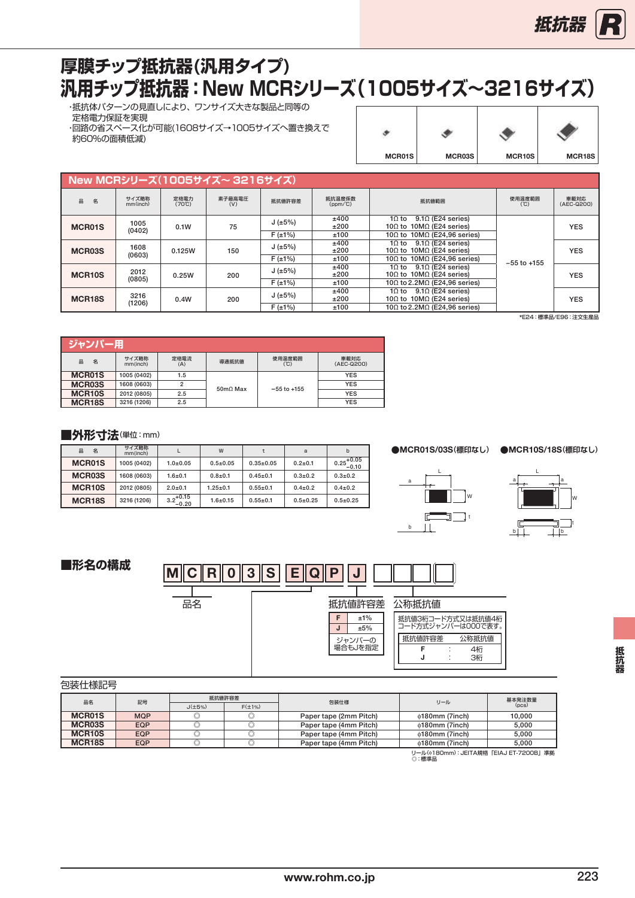

# <span id="page-3-0"></span>**汎用チップ抵抗器:New MCRシリーズ(1005サイズ~3216サイズ) 厚膜チップ抵抗器(汎用タイプ)**

 ・抵抗体パターンの見直しにより、ワンサイズ大きな製品と同等の 定格電力保証を実現 ・回路の省スペース化が可能(1608サイズ→1005サイズへ置き換えで ーー<br>約60%の面積低減)

| MCR01S | MCR03S | MCR10S | MCR18S |
|--------|--------|--------|--------|

|                            | New MCRシリーズ(1005サイズ~3216サイズ) |                                |               |                                         |                                             |                                                                               |                    |            |  |  |  |  |  |
|----------------------------|------------------------------|--------------------------------|---------------|-----------------------------------------|---------------------------------------------|-------------------------------------------------------------------------------|--------------------|------------|--|--|--|--|--|
| 品<br>名                     | サイズ略称<br>mm(inch)            | 定格雷力<br>$(70^{\circ}\text{C})$ | 素子最高電圧<br>(V) | 抵抗温度係数<br>抵抗値許容差<br>抵抗値範囲<br>$(ppm/^c)$ |                                             | 使用温度範囲<br>(C)                                                                 | 車載対応<br>(AEC-Q200) |            |  |  |  |  |  |
| <b>MCR01S</b>              | 1005<br>(0402)               | 0.1W                           | 75            | J(±5%)                                  | ±400<br>±200                                | $9.1\Omega$ (E24 series)<br>1Ω to<br>10 $\Omega$ to 10M $\Omega$ (E24 series) |                    | <b>YES</b> |  |  |  |  |  |
|                            |                              |                                | $F(\pm 1\%)$  | ±100                                    | 10 $\Omega$ to 10M $\Omega$ (E24,96 series) |                                                                               |                    |            |  |  |  |  |  |
| MCR03S                     | 1608<br>(0603)               | 0.125W                         | 150           | J(±5%)                                  | ±400<br>±200                                | 10 to $9.10$ (E24 series)<br>10 $\Omega$ to 10M $\Omega$ (E24 series)         |                    | <b>YES</b> |  |  |  |  |  |
|                            |                              |                                |               | $F(\pm 1\%)$                            | ±100                                        | 10 $\Omega$ to 10M $\Omega$ (E24,96 series)                                   | $-55$ to $+155$    |            |  |  |  |  |  |
| MCR <sub>10</sub> S        | 2012                         | 0.25W                          | 200           | J(±5%)                                  | ±400<br>±200                                | 10 to $9.10$ (E24 series)<br>10 $\Omega$ to 10M $\Omega$ (E24 series)         |                    | <b>YES</b> |  |  |  |  |  |
|                            | (0805)                       |                                |               | $F(\pm 1\%)$                            | ±100                                        | 10 $\Omega$ to 2.2M $\Omega$ (E24,96 series)                                  |                    |            |  |  |  |  |  |
| 3216<br>MCR <sub>18S</sub> |                              | 0.4W                           | 200           | J(±5%)                                  | ±400<br>±200                                | 10 to $9.10$ (E24 series)<br>10 $\Omega$ to 10M $\Omega$ (E24 series)         |                    | <b>YES</b> |  |  |  |  |  |
|                            | (1206)                       |                                |               | $F(\pm 1\%)$                            | ±100                                        | 10 $\Omega$ to 2.2M $\Omega$ (E24.96 series)                                  |                    |            |  |  |  |  |  |

\*E24:標準品/E96:注文生産品

|                     | ジャンパ一用            |             |          |                 |                    |  |  |  |  |  |  |
|---------------------|-------------------|-------------|----------|-----------------|--------------------|--|--|--|--|--|--|
| 品<br>名              | サイズ略称<br>mm(inch) | 定格電流<br>(A) | 導通抵抗値    | 使用温度範囲<br>(°C)  | 車載対応<br>(AEC-Q200) |  |  |  |  |  |  |
| <b>MCR01S</b>       | 1005 (0402)       | 1.5         |          |                 | <b>YES</b>         |  |  |  |  |  |  |
| MCR03S              | 1608 (0603)       | 2           |          | $-55$ to $+155$ | <b>YES</b>         |  |  |  |  |  |  |
| MCR <sub>10</sub> S | 2012 (0805)       | 2.5         | 50mO Max |                 | <b>YES</b>         |  |  |  |  |  |  |
| MCR <sub>18</sub> S | 3216 (1206)       |             |          |                 | <b>YES</b>         |  |  |  |  |  |  |

#### ■外形寸法(単位:mm)

| 名<br>品              | サイズ略称<br>mm(inch) |                       | W              |                | a           | b                      |
|---------------------|-------------------|-----------------------|----------------|----------------|-------------|------------------------|
| <b>MCR01S</b>       | 1005 (0402)       | $1.0 + 0.05$          | $0.5 \pm 0.05$ | $0.35+0.05$    | $0.2 + 0.1$ | $0.25^{+0.05}_{-0.10}$ |
| MCR03S              | 1608 (0603)       | $1.6 + 0.1$           | $0.8 + 0.1$    | $0.45 \pm 0.1$ | $0.3 + 0.2$ | $0.3 + 0.2$            |
| MCR <sub>10</sub> S | 2012 (0805)       | $2.0 + 0.1$           | $1.25 \pm 0.1$ | $0.55+0.1$     | $0.4 + 0.2$ | $0.4 + 0.2$            |
| MCR <sub>18S</sub>  | 3216 (1206)       | $3.2^{+0.15}_{-0.20}$ | $1.6 + 0.15$   | $0.55+0.1$     | $0.5+0.25$  | $0.5 + 0.25$           |

**●**MCR01S/03S**(標印なし) ●**MCR10S/18S**(標印なし)**



 $b\bar{1}$ a L a 립 W t

**■形名の構成**



| 包装仕様記号              |            |              |              |                        |                                                  |        |  |
|---------------------|------------|--------------|--------------|------------------------|--------------------------------------------------|--------|--|
| 品名                  | 記号         |              | 抵抗値許容差       | 包装仕様                   | リール                                              | 基本発注数量 |  |
|                     |            | $J(\pm 5\%)$ | $F(\pm 1\%)$ |                        |                                                  | (DCS)  |  |
| <b>MCR01S</b>       | <b>MQP</b> | u            | 〜            | Paper tape (2mm Pitch) | $\phi$ 180mm (7inch)                             | 10.000 |  |
| MCR03S              | EQP        |              |              | Paper tape (4mm Pitch) | $\phi$ 180mm (7inch)                             | 5.000  |  |
| MCR <sub>10</sub> S | <b>EQP</b> |              |              | Paper tape (4mm Pitch) | $\phi$ 180mm (7inch)                             | 5.000  |  |
| MCR <sub>18</sub> S | <b>EQP</b> |              |              | Paper tape (4mm Pitch) | $\phi$ 180mm (7inch)                             | 5.000  |  |
|                     |            |              |              |                        | リール(6180mm): JEITA規格「EIAJ ET-7200B」準拠<br>◎ : 標淮品 |        |  |

抵抗器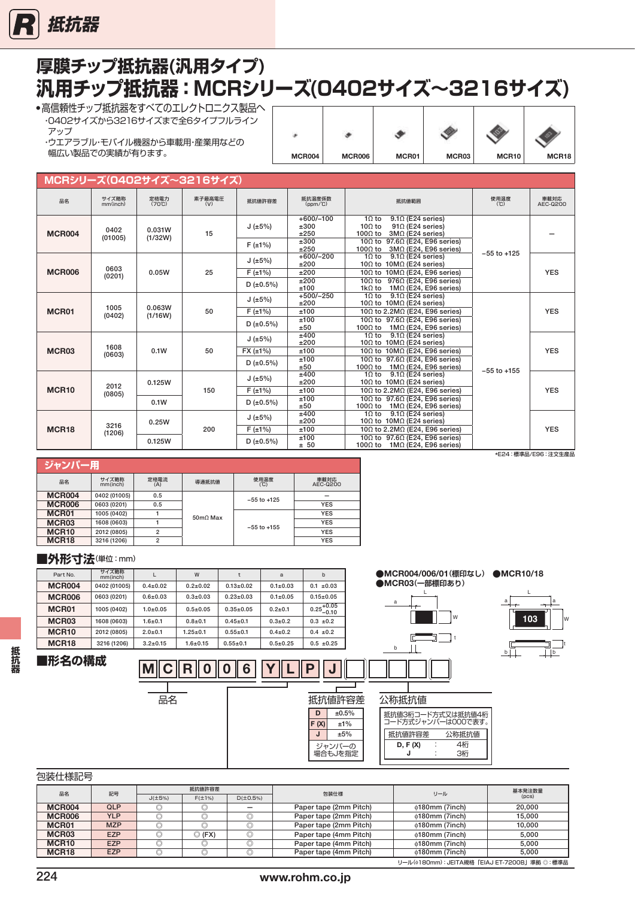<span id="page-4-0"></span>

| 厚膜チップ抵抗器(汎用タイプ)                   |  |
|-----------------------------------|--|
| 汎用チップ抵抗器:MCRシリーズ(0402サイズ~3216サイズ) |  |
| ▲宣信韜性チップ堆坑哭をすべてのエルクトロニクフ制具へ ┌──   |  |

・高信頼性チップ批抗器をすべてのエレクトロニクス製品 ・0402サイズから3216サイズまで全6タイプフルライン アップ ・ウエアラブル・モバイル機器から車載用・産業用などの

幅広い製品での実績が有ります。

| 32            |               |       |       |       |       |
|---------------|---------------|-------|-------|-------|-------|
| <b>MCR004</b> | <b>MCR006</b> | MCR01 | MCR03 | MCR10 | MCR18 |

| MCRシリーズ(0402サイズ~3216サイズ) |                   |                                |               |                                           |                                             |                                                                                                                                                                                                                                       |                 |                  |  |  |  |  |
|--------------------------|-------------------|--------------------------------|---------------|-------------------------------------------|---------------------------------------------|---------------------------------------------------------------------------------------------------------------------------------------------------------------------------------------------------------------------------------------|-----------------|------------------|--|--|--|--|
| 品名                       | サイズ略称<br>mm(inch) | 定格電力<br>$(70^{\circ}\text{C})$ | 素子最高電圧<br>(V) | 抵抗値許容差                                    | 抵抗温度係数<br>$(ppm/^{\circ}C)$                 | 抵抗值範囲                                                                                                                                                                                                                                 | 使用温度<br>(C)     | 車載対応<br>AEC-Q200 |  |  |  |  |
| <b>MCR004</b>            | 0402<br>(01005)   | 0.031W<br>(1/32W)              | 15            | J(±5%)<br>$F(\pm 1\%)$                    | $+600/-100$<br>±300<br>±250<br>±300<br>±250 | $9.1\Omega$ (E24 series)<br>$1\Omega$ to<br>$10\Omega$ to<br>$91\Omega$ (E24 series)<br>$100\Omega$ to<br>$3M\Omega$ (E24 series)<br>10 $\Omega$ to 97.6 $\Omega$ (E24, E96 series)<br>$100\Omega$ to<br>$3M\Omega$ (E24, E96 series) |                 |                  |  |  |  |  |
| <b>MCR006</b>            | 0603<br>(0201)    | 0.05W                          | 25            | J(±5%)<br>F(±1%)<br>D(±0.5%)              | $+600/-200$<br>±200<br>±200<br>±200<br>±100 | $10$ to<br>$9.1\Omega$ (E24 series)<br>10 $\Omega$ to 10M $\Omega$ (E24 series)<br>10 $\Omega$ to 10M $\Omega$ (E24, E96 series)<br>$976\Omega$ (E24, E96 series)<br>$10\Omega$ to<br>$1k\Omega$ to<br>$1M\Omega$ (E24, E96 series)   | $-55$ to $+125$ | <b>YES</b>       |  |  |  |  |
| MCR01                    | 1005<br>(0402)    | 0.063W<br>(1/16W)              | 50            | J(±5%)<br>$F(\pm 1\%)$<br>D $(\pm 0.5\%)$ | $+500/-250$<br>±200<br>±100<br>±100<br>±50  | $10$ to<br>$9.1\Omega$ (E24 series)<br>10 $\Omega$ to 10M $\Omega$ (E24 series)<br>10Ω to 2.2MΩ (E24, E96 series)<br>10 $\Omega$ to 97.6 $\Omega$ (E24, E96 series)<br>100 $\Omega$ to 1M $\Omega$ (E24, E96 series)                  |                 | <b>YES</b>       |  |  |  |  |
| MCR03                    | 1608<br>(0603)    | 0.1W                           | 50            | J(±5%)<br>FX(±1%)<br>D(±0.5%)             | ±400<br>±200<br>±100<br>±100<br>±50         | $10$ to<br>$9.1\Omega$ (E24 series)<br>10 $\Omega$ to 10M $\Omega$ (E24 series)<br>10 $\Omega$ to 10M $\Omega$ (E24, E96 series)<br>10 $\Omega$ to 97.6 $\Omega$ (E24, E96 series)<br>100 $\Omega$ to<br>$1M\Omega$ (E24, E96 series) |                 | <b>YES</b>       |  |  |  |  |
| MCR <sub>10</sub>        | 2012<br>(0805)    | 0.125W<br>0.1W                 | 150           | J(±5%)<br>F(±1%)<br>D(±0.5%)              | ±400<br>±200<br>±100<br>±100<br>±50         | $10$ to<br>$9.1\Omega$ (E24 series)<br>10 $\Omega$ to 10M $\Omega$ (E24 series)<br>10Ω to 2.2MΩ (E24, E96 series)<br>10 $\Omega$ to 97.6 $\Omega$ (E24, E96 series)<br>$1M\Omega$ (E24, E96 series)<br>100 $\Omega$ to                | $-55$ to $+155$ | <b>YES</b>       |  |  |  |  |
| MCR <sub>18</sub>        | 3216<br>(1206)    | 0.25W<br>0.125W                | 200           | J(±5%)<br>$F(\pm 1\%)$<br>D(±0.5%)        | ±400<br>±200<br>±100<br>±100<br>± 50        | $1\Omega$ to<br>$9.1\Omega$ (E24 series)<br>10 $\Omega$ to 10M $\Omega$ (E24 series)<br>10Ω to 2.2MΩ (E24, E96 series)<br>10 $\Omega$ to 97.6 $\Omega$ (E24, E96 series)<br>100 $\Omega$ to 1M $\Omega$ (E24, E96 series)             |                 | <b>YES</b>       |  |  |  |  |

| ジャンパー用            |                   |                |                   |                 |                  |  |  |  |  |  |  |
|-------------------|-------------------|----------------|-------------------|-----------------|------------------|--|--|--|--|--|--|
| 品名                | サイズ略称<br>mm(inch) | 定格電流<br>(A)    | 導通抵抗値             | 使用温度<br>(C)     | 車載対応<br>AEC-0200 |  |  |  |  |  |  |
| <b>MCR004</b>     | 0402 (01005)      | 0.5            |                   | $-55$ to $+125$ |                  |  |  |  |  |  |  |
| <b>MCR006</b>     | 0603 (0201)       | 0.5            |                   |                 | <b>YES</b>       |  |  |  |  |  |  |
| MCR01             | 1005 (0402)       |                | $50 \text{m}$ Max |                 | <b>YES</b>       |  |  |  |  |  |  |
| MCR <sub>03</sub> | 1608 (0603)       |                |                   | $-55$ to $+155$ | <b>YES</b>       |  |  |  |  |  |  |
| MCR <sub>10</sub> | 2012 (0805)       | $\overline{2}$ |                   |                 | <b>YES</b>       |  |  |  |  |  |  |
| MCR <sub>18</sub> | 3216 (1206)       | $\overline{2}$ |                   |                 | <b>YES</b>       |  |  |  |  |  |  |

#### ■外形寸法(単位:mm)

| Part No.          | サイズ略称<br>mm(inch) |                | W              |               | a              | b                      |
|-------------------|-------------------|----------------|----------------|---------------|----------------|------------------------|
| <b>MCR004</b>     | 0402 (01005)      | $0.4 + 0.02$   | $0.2 + 0.02$   | $0.13 + 0.02$ | $0.1 + 0.03$   | $0.1 \pm 0.03$         |
| <b>MCR006</b>     | 0603 (0201)       | $0.6 + 0.03$   | $0.3 + 0.03$   | $0.23 + 0.03$ | $0.1 \pm 0.05$ | $0.15 \pm 0.05$        |
| MCR01             | 1005 (0402)       | $1.0 + 0.05$   | $0.5 \pm 0.05$ | $0.35+0.05$   | $0.2 + 0.1$    | $0.25^{+0.05}_{-0.10}$ |
| MCR <sub>03</sub> | 1608 (0603)       | $1.6 + 0.1$    | $0.8 + 0.1$    | $0.45+0.1$    | $0.3 + 0.2$    | $0.3 + 0.2$            |
| MCR <sub>10</sub> | 2012 (0805)       | $2.0 + 0.1$    | $1.25 \pm 0.1$ | $0.55+0.1$    | $0.4 + 0.2$    | $0.4 \pm 0.2$          |
| MCR <sub>18</sub> | 3216 (1206)       | $3.2 \pm 0.15$ | $1.6 + 0.15$   | $0.55+0.1$    | $0.5 + 0.25$   | $0.5 \pm 0.25$         |

# **■形名の構成**

**抵抗器**

抵抗器

| $2.0 \pm 0.1$  | $1.25 \pm 0.1$ | $0.55 \pm 0.1$ | $0.4 \pm 0.2$ | $0.4 \pm 0.2$     |              |                                         |
|----------------|----------------|----------------|---------------|-------------------|--------------|-----------------------------------------|
| $3.2 \pm 0.15$ | $1.6 \pm 0.15$ | $0.55 \pm 0.1$ | $0.5 + 0.25$  | $0.5 \pm 0.25$    |              | b                                       |
| M              | R              | 6              |               | ₽<br>IJ           |              |                                         |
| 品名             |                |                |               | 抵抗値許容差            |              | 公称抵抗值                                   |
|                |                |                |               | D<br>F(X)         | ±0.5%<br>±1% | 抵抗値3桁コード方式又は抵抗値4桁<br>コード方式ジャンパーは000で表す。 |
|                |                |                |               | J                 | ±5%          | 抵抗値許容差<br>公称抵抗值                         |
|                |                |                |               | ジャンパーの<br>場合もJを指定 |              | 4桁<br>D, F(X)<br>3桁<br>J                |

#### 包装仕様記号

| 品名                | 記号                                          |              | 抵抗值許容差                                 |   |                        |                      | 基本発注数量 |  |  |  |  |
|-------------------|---------------------------------------------|--------------|----------------------------------------|---|------------------------|----------------------|--------|--|--|--|--|
|                   |                                             | $J(\pm 5\%)$ | 包装仕様<br>$F(\pm 1\%)$<br>$D(\pm 0.5\%)$ |   |                        | リール                  | (pcs)  |  |  |  |  |
| <b>MCR004</b>     | QLP                                         |              |                                        |   | Paper tape (2mm Pitch) | $\phi$ 180mm (7inch) | 20,000 |  |  |  |  |
| <b>MCR006</b>     | <b>YLP</b>                                  |              |                                        |   | Paper tape (2mm Pitch) | $\phi$ 180mm (7inch) | 15.000 |  |  |  |  |
| MCR01             | <b>MZP</b>                                  |              |                                        | ◡ | Paper tape (2mm Pitch) | $\phi$ 180mm (7inch) | 10.000 |  |  |  |  |
| MCR03             | <b>EZP</b>                                  |              | $\odot$ (FX)                           |   | Paper tape (4mm Pitch) | $\phi$ 180mm (7inch) | 5.000  |  |  |  |  |
| MCR <sub>10</sub> | <b>EZP</b>                                  |              |                                        |   | Paper tape (4mm Pitch) | $\phi$ 180mm (7inch) | 5.000  |  |  |  |  |
| MCR <sub>18</sub> | <b>EZP</b>                                  |              |                                        |   | Paper tape (4mm Pitch) | $\phi$ 180mm (7inch) | 5.000  |  |  |  |  |
|                   | リール(Φ180mm): JEITA規格「EIAJ ET-7200B」準拠 ◎:標準品 |              |                                        |   |                        |                      |        |  |  |  |  |

#### \*E24:標準品/E96:注文生産品

 $\overline{b}$ 

a

L

**103**

a

 $\frac{1}{b}$ 

W

 **●**MCR004/006/01**(標印なし) ●**MCR10/18

W

● MCR03(一部標印あり)

L

a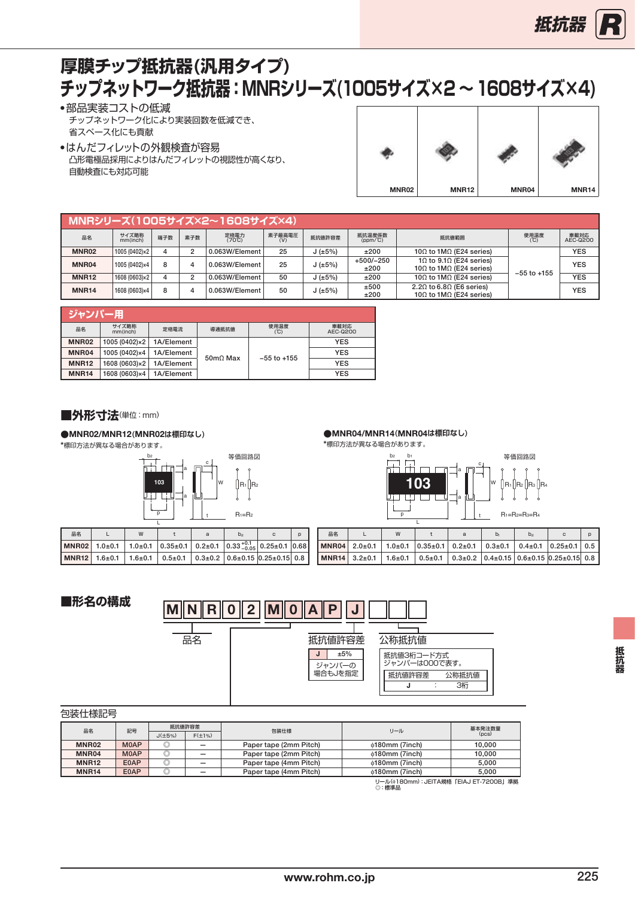# **チップネットワーク抵抗器:MNRシリーズ(1005サイズ×2 ~ 1608サイズ×4) 厚膜チップ抵抗器(汎用タイプ)**

●部品実装コストの低減 チップネットワーク化により実装回数を低減でき、 省スペース化にも貢献

●はんだフィレットの外観検査が容易 凸形電極品採用によりはんだフィレットの視認性が高くなり、 自動検査にも対応可能



| MNRシリーズ(1005サイズ×2~1608サイズ×4) |                   |     |                |                                |               |        |                      |                                                                     |                 |                  |  |
|------------------------------|-------------------|-----|----------------|--------------------------------|---------------|--------|----------------------|---------------------------------------------------------------------|-----------------|------------------|--|
| 品名                           | サイズ略称<br>mm(inch) | 端子数 | 素子数            | 定格電力<br>$(70^{\circ}\text{C})$ | 素子最高電圧<br>(V) | 抵抗値許容差 | 抵抗温度係数<br>$(ppm/^c)$ | 抵抗値範囲                                                               | 使用温度<br>(℃)     | 車載対応<br>AEC-Q200 |  |
| <b>MNR02</b>                 | 1005 (0402)×2     |     | $\overline{2}$ | 0.063W/Element                 | 25            | J(±5%) | ±200                 | 10 $\Omega$ to 1M $\Omega$ (E24 series)                             |                 | <b>YES</b>       |  |
| MNR04                        | 1005 (0402)×4     | 8   | 4              | 0.063W/Element                 | 25            | J(±5%) | $+500/-250$<br>±200  | 10 to 9.10 (E24 series)<br>100 to 1MQ (E24 series)                  | $-55$ to $+155$ | <b>YES</b>       |  |
| <b>MNR12</b>                 | 1608 (0603)×2     |     | $\overline{2}$ | 0.063W/Element                 | 50            | J(±5%) | ±200                 | 10 $\Omega$ to 1M $\Omega$ (E24 series)                             |                 | <b>YES</b>       |  |
| <b>MNR14</b>                 | 1608 (0603)×4     | 8   | 4              | 0.063W/Element                 | 50            | J(±5%) | ±500<br>±200         | 2.20 to 6.80 (E6 series)<br>10 $\Omega$ to 1M $\Omega$ (E24 series) |                 | <b>YES</b>       |  |

| ジャンパー用       |                             |            |                         |                 |                  |
|--------------|-----------------------------|------------|-------------------------|-----------------|------------------|
| 品名           | サイズ略称<br>mm(inch)           | 定格電流       | 導通抵抗値                   | 使用温度<br>(°C)    | 車載対応<br>AEC-Q200 |
| MNR02        | 1005 (0402)×2               | 1A/Element |                         |                 | <b>YES</b>       |
| MNR04        | 1005 (0402)×4               | 1A/Element | $50 \text{m}\Omega$ Max | $-55$ to $+155$ | <b>YES</b>       |
| <b>MNR12</b> | 1608 (0603)×2<br>1A/Element |            |                         |                 | <b>YES</b>       |
| <b>MNR14</b> | 1608 (0603)×4               | 1A/Element |                         |                 | <b>YES</b>       |

■外形寸法(単位:mm)

#### **●**MNR02/MNR12**(**MNR02**は標印なし)**

\*標印方法が異なる場合があります。



| 品名 |  |  | h <sub>2</sub> |                                                                             |  |
|----|--|--|----------------|-----------------------------------------------------------------------------|--|
|    |  |  |                | MNR02 1.0±0.1 1.0±0.1 0.35±0.1 0.2±0.1 0.33 $^{+0.1}_{-0.05}$ 0.25±0.1 0.68 |  |
|    |  |  |                | MNR12 1.6±0.1 1.6±0.1 0.5±0.1 0.3±0.2 0.6±0.15 0.25±0.15 0.8                |  |

|  | ●MNR04/MNR14(MNR04は標印なし) |  |
|--|--------------------------|--|
|--|--------------------------|--|

\*標印方法が異なる場合があります。

等価回路図 b2 b1 p  $R_1$ ||R2 R1=R2=R3=R4 **103**<br>R3 R4 a c t W a 等価回路図

| 品名 |                         | W |  | $D_1$ | b <sub>2</sub> |                                                                                           | D |
|----|-------------------------|---|--|-------|----------------|-------------------------------------------------------------------------------------------|---|
|    |                         |   |  |       |                | 1 MNR04   2.0±0.1   1.0±0.1   0.35±0.1   0.2±0.1   0.3±0.1   0.4±0.1   0.25±0.1   0.5     |   |
|    | $NMR14   3.2 \pm 0.1  $ |   |  |       |                | $1.6\pm0.1$ 0.5 $\pm$ 0.1 0.3 $\pm$ 0.2 0.4 $\pm$ 0.15 0.6 $\pm$ 0.15 0.25 $\pm$ 0.15 0.8 |   |



| 包装仕様記号       |             |                |              |                        |                      |        |  |
|--------------|-------------|----------------|--------------|------------------------|----------------------|--------|--|
| 品名           | 記号          | 抵抗值許容差         |              | 包装仕様                   | リール                  | 基本発注数量 |  |
|              |             | $J(\pm 5\%)$   | $F(\pm 1\%)$ |                        |                      | (pcs)  |  |
| MNR02        | <b>MOAP</b> |                |              | Paper tape (2mm Pitch) | $\phi$ 180mm (7inch) | 10.000 |  |
| MNR04        | <b>MOAP</b> | $\circledcirc$ |              | Paper tape (2mm Pitch) | $\phi$ 180mm (7inch) | 10.000 |  |
| <b>MNR12</b> | E0AP        | O              |              | Paper tape (4mm Pitch) | $\phi$ 180mm (7inch) | 5.000  |  |
| <b>MNR14</b> | E0AP        |                |              | Paper tape (4mm Pitch) | $\phi$ 180mm (7inch) | 5.000  |  |
|              |             |                |              |                        |                      |        |  |

リール(ϕ180mm):JEITA規格「EIAJ ET-7200B」準拠<br>◎ : 標準品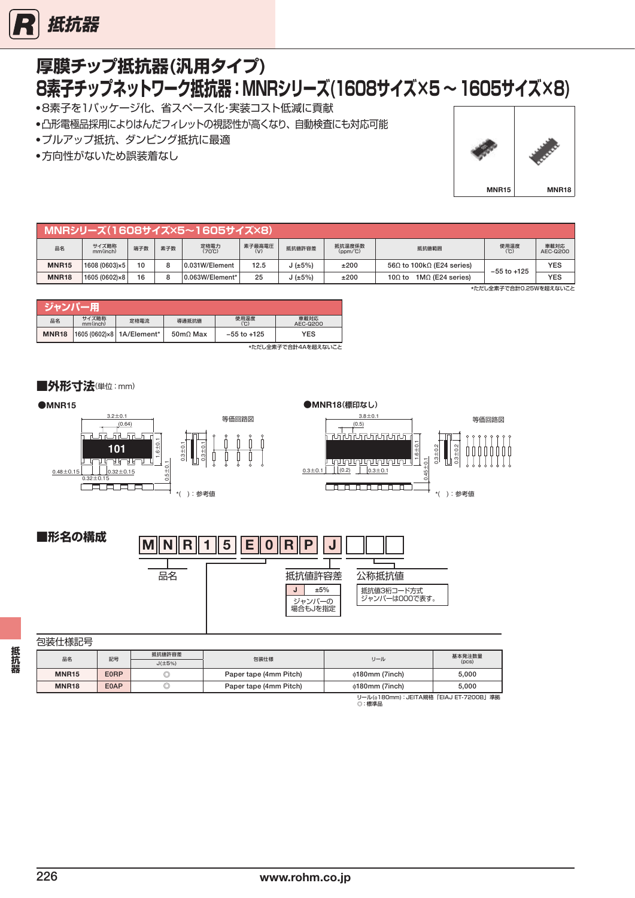

### **厚膜チップ抵抗器(汎用タイプ)** ●8素子を1パッケージ化、省スペース化・実装コスト低減に貢献 **8素子チップネットワーク抵抗器:MNRシリーズ(1608サイズ×5 ~ 1605サイズ×8)**

- ●凸形電極品採用によりはんだフィレットの視認性が高くなり、自動検査にも対応可能
- ●プルアップ抵抗、ダンピング抵抗に最適
- ●方向性がないため誤装着なし



|              |                   |     |     | MNRシリーズ(1608サイズ×5~1605サイズ×8) |        |        |                   |                                           |                 |                  |
|--------------|-------------------|-----|-----|------------------------------|--------|--------|-------------------|-------------------------------------------|-----------------|------------------|
| 品名           | サイズ略称<br>mm(inch) | 端子数 | 素子数 | 定格電力<br>(70℃)                | 素子最高電圧 | 抵抗値許容差 | 抵抗温度係数<br>(ppm/℃) | 抵抗值範囲                                     | 使用温度<br>(℃)     | 車載対応<br>AEC-Q200 |
| <b>MNR15</b> | 1608 (0603)×5     | 10  | 8   | 0.031W/Element               | 12.5   | J(±5%) | ±200              | 56 $\Omega$ to 100k $\Omega$ (E24 series) | $-55$ to $+125$ | <b>YES</b>       |
| <b>MNR18</b> | 1605 (0602)×8     | 16  | 8   | 0.063W/Element*              | 25     | J(±5%) | ±200              | $1M\Omega$ (E24 series)<br>$100$ to       |                 | <b>YES</b>       |

\*ただし全素子で合計0.25Wを超えないこと

| ジャンパー        |                   |                           |                   |                 |                  |
|--------------|-------------------|---------------------------|-------------------|-----------------|------------------|
| 品名           | サイズ略称<br>mm(inch) | 定格電流                      | 導通抵抗値             | 使用温度<br>(°C)    | 車載対応<br>AEC-Q200 |
| <b>MNR18</b> |                   | 1605 (0602)×8 1A/Element* | $50 \text{m}$ Max | $-55$ to $+125$ | <b>YES</b>       |
|              |                   |                           |                   |                 |                  |

\*ただし全素子で合計4Aを超えないこと

**■外形寸法**(単位:mm)





### 包装仕様記号

| ——————————   |      |              |                        |                                      |        |  |
|--------------|------|--------------|------------------------|--------------------------------------|--------|--|
| 品名           | 記号   | 抵抗値許容差       |                        |                                      | 基本発注数量 |  |
|              |      | $J(\pm 5\%)$ | 包装仕様<br>リール            |                                      | (pcs)  |  |
| <b>MNR15</b> | E0RP | O            | Paper tape (4mm Pitch) | $\phi$ 180mm (7inch)                 | 5.000  |  |
| <b>MNR18</b> | E0AP | O            | Paper tape (4mm Pitch) | $\phi$ 180mm (7inch)                 | 5.000  |  |
|              |      |              |                        | リール(@180mm):JEITA規格「EIAJ ET-7200B」進拠 |        |  |

リール(ϕ180mm):JEITA規格「EIAJET-7200B」準拠 。<br>◎:標準品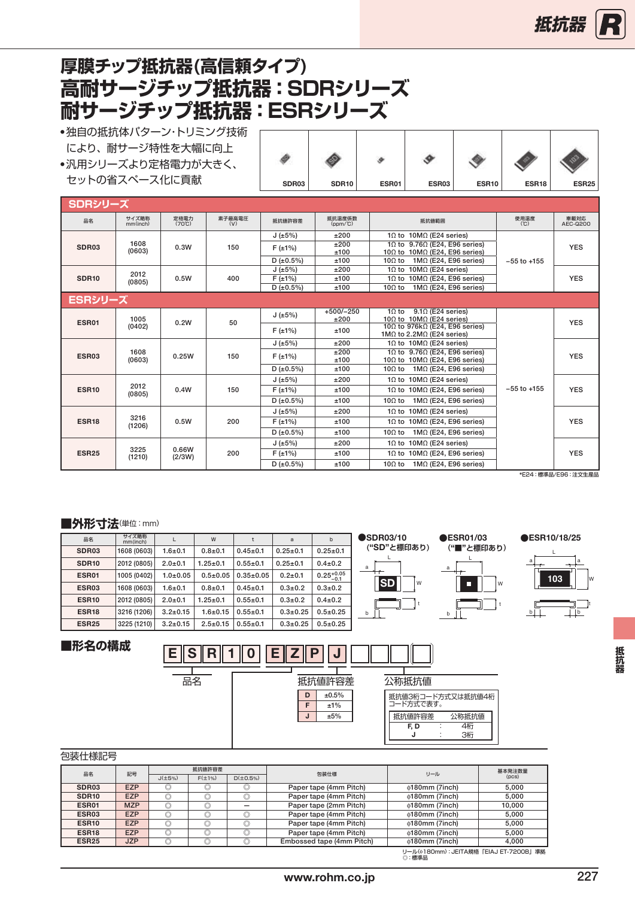# <span id="page-7-0"></span>**高耐サージチップ抵抗器:SDRシリーズ 耐サージチップ抵抗器:ESRシリーズ 厚膜チップ抵抗器(高信頼タイプ)**

- ●独自の抵抗体パターン・トリミング技術 により、耐サージ特性を大幅に向上 ●汎用シリーズより定格電力が大きく、
- セットの省スペース化に貢献

| SDR03 | <b>SDR10</b> | ESR01 | ESR03 | ESR <sub>10</sub> | ESR18 | <b>ESR25</b> |
|-------|--------------|-------|-------|-------------------|-------|--------------|

| <u>SDRシリーズ</u>    |                   |                                |               |                 |                             |                                                                                  |                 |                  |
|-------------------|-------------------|--------------------------------|---------------|-----------------|-----------------------------|----------------------------------------------------------------------------------|-----------------|------------------|
| 品名                | サイズ略称<br>mm(inch) | 定格電力<br>$(70^{\circ}\text{C})$ | 素子最高電圧<br>(V) | 抵抗值許容差          | 抵抗温度係数<br>$(ppm/^{\circ}C)$ | 抵抗值範囲                                                                            | 使用温度<br>(C)     | 車載対応<br>AEC-0200 |
|                   |                   |                                |               | J(±5%)          | ±200                        | 10 to 10MQ (E24 series)                                                          |                 |                  |
| SDR03             | 1608<br>(0603)    |                                | 150           | $F(\pm 1\%)$    | ±200<br>±100                | 10 to $9.760$ (E24, E96 series)<br>10 $\Omega$ to 10M $\Omega$ (E24, E96 series) |                 | <b>YES</b>       |
|                   |                   |                                |               | D(±0.5%)        | ±100                        | 10 $\Omega$ to<br>$1M\Omega$ (E24, E96 series)                                   | $-55$ to $+155$ |                  |
|                   | 2012              |                                |               | J(±5%)          | ±200                        | $10M\Omega$ (E24 series)<br>$10$ to                                              |                 |                  |
| <b>SDR10</b>      | (0805)            | 0.5W                           | 400           | $F(\pm 1\%)$    | ±100                        | $10M\Omega$ (E24, E96 series)<br>$10$ to                                         |                 | <b>YES</b>       |
|                   |                   |                                |               | $D (\pm 0.5\%)$ | ±100                        | $1M\Omega$ (E24, E96 series)<br>10 $\Omega$ to                                   |                 |                  |
| ESRシリーズ           |                   |                                |               |                 |                             |                                                                                  |                 |                  |
| ESR01             | 1005              |                                | 50            | J(±5%)          | $+500/-250$<br>±200         | $9.1\Omega$ (E24 series)<br>$10$ to<br>10 $\Omega$ to 10M $\Omega$ (E24 series)  |                 | <b>YES</b>       |
|                   | (0402)            | 0.2W                           |               | F(±1%)          | ±100                        | 10Ω to 976kΩ (E24, E96 series)<br>1M $\Omega$ to 2.2M $\Omega$ (E24 series)      |                 |                  |
|                   |                   | 0.25W                          |               | J(±5%)          | ±200                        | 10 to 10MQ (E24 series)                                                          |                 |                  |
| ESR03             | 1608<br>(0603)    |                                | 150           | $F(\pm 1\%)$    | ±200<br>±100                | 10 to $9.760$ (E24, E96 series)<br>10 $\Omega$ to 10M $\Omega$ (E24, E96 series) |                 | <b>YES</b>       |
|                   |                   |                                |               | D(±0.5%)        | ±100                        | $1M\Omega$ (E24, E96 series)<br>$10\Omega$ to                                    |                 |                  |
|                   |                   |                                |               | J(±5%)          | ±200                        | 10 to 10MQ (E24 series)                                                          |                 |                  |
| <b>ESR10</b>      | 2012<br>(0805)    | 0.4W                           | 150           | $F(\pm 1\%)$    | ±100                        | 10 to 10MQ (E24, E96 series)                                                     | $-55$ to $+155$ | <b>YES</b>       |
|                   |                   |                                |               | D(±0.5%)        | ±100                        | $1M\Omega$ (E24, E96 series)<br>10 $\Omega$ to                                   |                 |                  |
|                   |                   |                                |               | J(±5%)          | ±200                        | 10 to 10MQ (E24 series)                                                          |                 |                  |
| ESR <sub>18</sub> | 3216<br>(1206)    | 0.5W                           | 200           | $F(\pm 1\%)$    | ±100                        | 10 to 10M $\Omega$ (E24, E96 series)                                             |                 | <b>YES</b>       |
|                   |                   |                                |               | $D$ (±0.5%)     | ±100                        | $1M\Omega$ (E24, E96 series)<br>10 $\Omega$ to                                   |                 |                  |
|                   |                   |                                |               | J(±5%)          | ±200                        | 10 to 10MQ (E24 series)                                                          |                 |                  |
| <b>ESR25</b>      | 3225<br>(1210)    | 0.66W<br>(2/3W)                | 200           | $F(\pm 1\%)$    | ±100                        | 10 to 10M $\Omega$ (E24, E96 series)                                             |                 | <b>YES</b>       |
|                   |                   |                                |               | $D$ (±0.5%)     | ±100                        | 10 $\Omega$ to 1M $\Omega$ (E24, E96 series)                                     |                 |                  |

\*E24:標準品/E96:注文生産品

#### ■外形寸法(単位:mm)

| 品名                | サイズ略称<br>mm(inch) |                | W              |                 | a              | b                     | SDR03/10       | <b>ESR01/03</b> | <b>●ESR10/18/25</b> |
|-------------------|-------------------|----------------|----------------|-----------------|----------------|-----------------------|----------------|-----------------|---------------------|
| SDR <sub>03</sub> | 1608 (0603)       | $1.6 + 0.1$    | $0.8 + 0.1$    | $0.45 \pm 0.1$  | $0.25 \pm 0.1$ | $0.25 \pm 0.1$        | ("SD"と標印あり)    | ("■"と標印あり)      |                     |
| SDR <sub>10</sub> | 2012 (0805)       | $2.0 + 0.1$    | $1.25 \pm 0.1$ | $0.55 \pm 0.1$  | $0.25 \pm 0.1$ | $0.4 \pm 0.2$         | a              | a               | a                   |
| <b>ESR01</b>      | 1005 (0402)       | $1.0 + 0.05$   | $0.5 + 0.05$   | $0.35 \pm 0.05$ | $0.2 + 0.1$    | $0.25^{+0.05}_{-0.1}$ |                |                 | 103<br>۱W           |
| ESR03             | 1608 (0603)       | $1.6 + 0.1$    | $0.8 + 0.1$    | $0.45 \pm 0.1$  | $0.3 \pm 0.2$  | $0.3 \pm 0.2$         | <b>SD</b><br>W | П<br>W          |                     |
| <b>ESR10</b>      | 2012 (0805)       | $2.0 + 0.1$    | $1.25 \pm 0.1$ | $0.55 \pm 0.1$  | $0.3 \pm 0.2$  | $0.4 \pm 0.2$         |                |                 |                     |
| ESR <sub>18</sub> | 3216 (1206)       | $3.2 \pm 0.15$ | $.6 \pm 0.15$  | $0.55 \pm 0.1$  | $0.3 + 0.25$   | $0.5 + 0.25$          |                | b               | l b<br>b<br>$-$     |
| <b>ESR25</b>      | 3225 (1210)       | $3.2 \pm 0.15$ | $2.5 \pm 0.15$ | $0.55 \pm 0.1$  | $0.3 + 0.25$   | $0.5 \pm 0.25$        |                |                 |                     |

### **■形名の構成**



| 包装仕様記号 |
|--------|
|--------|

| 品名                | 記号         | 抵抗値許容差       |              |          | 包装仕様                      | リール                                   | 基本発注数量 |
|-------------------|------------|--------------|--------------|----------|---------------------------|---------------------------------------|--------|
|                   |            | $J(\pm 5\%)$ | $F(\pm 1\%)$ | D(±0.5%) |                           |                                       | (pcs)  |
| SDR <sub>03</sub> | <b>EZP</b> |              |              |          | Paper tape (4mm Pitch)    | $\phi$ 180mm (7inch)                  | 5.000  |
| SDR <sub>10</sub> | <b>EZP</b> | O            | O            |          | Paper tape (4mm Pitch)    | $\phi$ 180mm (7inch)                  | 5.000  |
| ESR01             | <b>MZP</b> |              |              |          | Paper tape (2mm Pitch)    | $\phi$ 180mm (7inch)                  | 10.000 |
| ESR03             | <b>EZP</b> | O            |              |          | Paper tape (4mm Pitch)    | <b>¢180mm (7inch)</b>                 | 5.000  |
| ESR <sub>10</sub> | <b>EZP</b> |              |              |          | Paper tape (4mm Pitch)    | $\phi$ 180mm (7inch)                  | 5.000  |
| ESR <sub>18</sub> | <b>EZP</b> | O            | O            | O        | Paper tape (4mm Pitch)    | $\phi$ 180mm (7inch)                  | 5.000  |
| ESR <sub>25</sub> | <b>JZP</b> |              |              |          | Embossed tape (4mm Pitch) | $\phi$ 180mm (7inch)                  | 4.000  |
|                   |            |              |              |          |                           | リール(^180mm): JFITA規格「FIAJ FT-7200B」淮柳 |        |

抵抗婴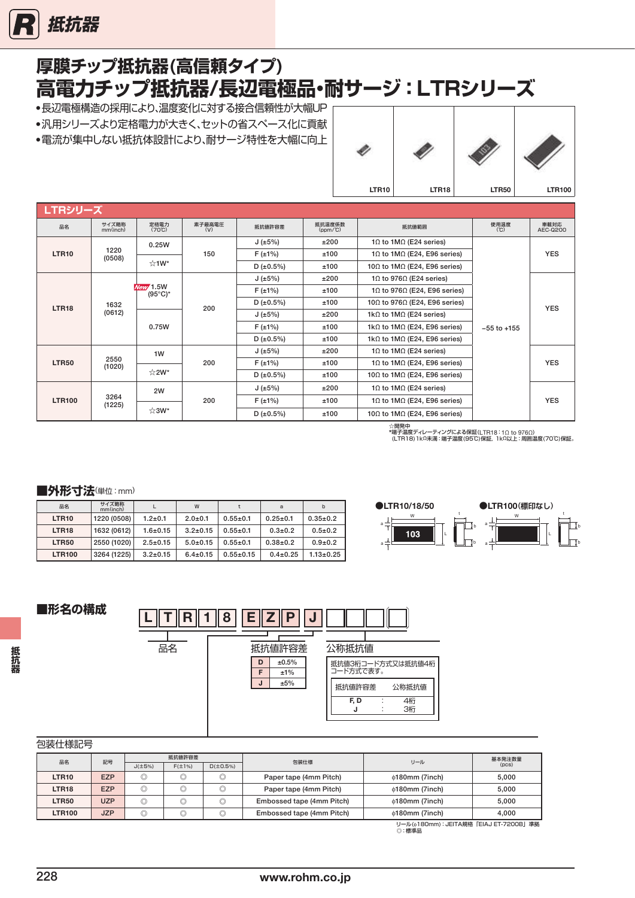<span id="page-8-0"></span>

# **高電力チップ抵抗器/長辺電極品・耐サージ:LTRシリーズ 厚膜チップ抵抗器(高信頼タイプ)**

- ●長辺電極構造の採用により、温度変化に対する接合信頼性が大幅UP ●汎用シリーズより定格電力が大きく、セットの省スペース化に貢献
- 
- ●電流が集中しない抵抗体設計により、耐サージ特性を大幅に向上



| <b>LTRシリーズ</b> |                   |                                 |               |              |                             |                                              |                                              |                               |  |            |  |  |  |  |  |  |  |              |      |                                              |                 |  |
|----------------|-------------------|---------------------------------|---------------|--------------|-----------------------------|----------------------------------------------|----------------------------------------------|-------------------------------|--|------------|--|--|--|--|--|--|--|--------------|------|----------------------------------------------|-----------------|--|
| 品名             | サイズ略称<br>mm(inch) | 定格電力<br>$(70^{\circ}C)$         | 素子最高電圧<br>(V) | 抵抗値許容差       | 抵抗温度係数<br>$(ppm/^{\circ}C)$ | 抵抗值範囲                                        | 使用温度<br>(C)                                  | 車載対応<br>AEC-Q200              |  |            |  |  |  |  |  |  |  |              |      |                                              |                 |  |
|                |                   | 0.25W                           |               | J(±5%)       | ±200                        | 10 to 1MQ (E24 series)                       |                                              |                               |  |            |  |  |  |  |  |  |  |              |      |                                              |                 |  |
| <b>LTR10</b>   | 1220<br>(0508)    |                                 | 150           | $F(\pm 1\%)$ | ±100                        | 10 to 1M $\Omega$ (E24, E96 series)          |                                              | <b>YES</b>                    |  |            |  |  |  |  |  |  |  |              |      |                                              |                 |  |
|                |                   | ☆1W*                            |               | D(±0.5%)     | ±100                        | 10 $\Omega$ to 1M $\Omega$ (E24, E96 series) |                                              |                               |  |            |  |  |  |  |  |  |  |              |      |                                              |                 |  |
|                |                   | New/1.5W<br>$(95^{\circ}C)^{*}$ |               | J(±5%)       | ±200                        | 10 to 9760 (E24 series)                      |                                              |                               |  |            |  |  |  |  |  |  |  |              |      |                                              |                 |  |
|                |                   |                                 |               |              |                             | $F(\pm 1\%)$                                 | ±100                                         | 10 to 9760 (E24, E96 series)  |  |            |  |  |  |  |  |  |  |              |      |                                              |                 |  |
| <b>LTR18</b>   | 1632              |                                 |               |              | 200                         | D(±0.5%)                                     | ±100                                         | 10Ω to 976Ω (E24, E96 series) |  | <b>YES</b> |  |  |  |  |  |  |  |              |      |                                              |                 |  |
|                | (0612)            |                                 |               | J(±5%)       | ±200                        | 1k $\Omega$ to 1M $\Omega$ (E24 series)      |                                              |                               |  |            |  |  |  |  |  |  |  |              |      |                                              |                 |  |
|                |                   | 0.75W                           |               |              |                             |                                              |                                              |                               |  |            |  |  |  |  |  |  |  | $F(\pm 1\%)$ | ±100 | 1k $\Omega$ to 1M $\Omega$ (E24, E96 series) | $-55$ to $+155$ |  |
|                |                   |                                 |               |              | D ( $\pm 0.5\%$ )           | ±100                                         | 1k $\Omega$ to 1M $\Omega$ (E24, E96 series) |                               |  |            |  |  |  |  |  |  |  |              |      |                                              |                 |  |
|                |                   | 1W                              |               | J(±5%)       | ±200                        | 10 to 1MQ (E24 series)                       |                                              |                               |  |            |  |  |  |  |  |  |  |              |      |                                              |                 |  |
| <b>LTR50</b>   | 2550<br>(1020)    |                                 | 200           | $F(\pm 1\%)$ | ±100                        | 10 to 1M $\Omega$ (E24, E96 series)          |                                              | <b>YES</b>                    |  |            |  |  |  |  |  |  |  |              |      |                                              |                 |  |
|                |                   | ☆2W*                            |               | D(±0.5%)     | ±100                        | 10 $\Omega$ to 1M $\Omega$ (E24, E96 series) |                                              |                               |  |            |  |  |  |  |  |  |  |              |      |                                              |                 |  |
|                |                   | 2W                              |               | J(±5%)       | ±200                        | 10 to 1MQ (E24 series)                       |                                              |                               |  |            |  |  |  |  |  |  |  |              |      |                                              |                 |  |
| <b>LTR100</b>  | 3264<br>(1225)    |                                 | 200           | $F(\pm 1\%)$ | ±100                        | 10 to 1M $\Omega$ (E24, E96 series)          |                                              | <b>YES</b>                    |  |            |  |  |  |  |  |  |  |              |      |                                              |                 |  |
|                |                   |                                 | ☆3W*          |              | D $(\pm 0.5\%)$             | ±100                                         | 10 $\Omega$ to 1M $\Omega$ (E24, E96 series) |                               |  |            |  |  |  |  |  |  |  |              |      |                                              |                 |  |

☆開発中 \*端子温度ディレーティングによる保証(LTR18 : 1Ω to 976Ω)<br>(LTR18)1kΩ未満 : 端子温度(95℃)保証, 1kΩ以上 : 周囲温度(70℃)保証。

#### ■外形寸法(単位:mm)

| 品名                | サイズ略称<br>mm(inch) |                | W              |                 | a              | b               |
|-------------------|-------------------|----------------|----------------|-----------------|----------------|-----------------|
| <b>LTR10</b>      | 1220 (0508)       | $1.2 + 0.1$    | $2.0 + 0.1$    | $0.55 \pm 0.1$  | $0.25 \pm 0.1$ | $0.35 \pm 0.2$  |
| LTR <sub>18</sub> | 1632 (0612)       | $1.6 + 0.15$   | $3.2 \pm 0.15$ | $0.55 \pm 0.1$  | $0.3 + 0.2$    | $0.5 \pm 0.2$   |
| <b>LTR50</b>      | 2550 (1020)       | $2.5 \pm 0.15$ | $5.0 + 0.15$   | $0.55 \pm 0.1$  | $0.38 + 0.2$   | $0.9 + 0.2$     |
| <b>LTR100</b>     | 3264 (1225)       | $3.2 \pm 0.15$ | $6.4 \pm 0.15$ | $0.55 \pm 0.15$ | $0.4 \pm 0.25$ | $1.13 \pm 0.25$ |





| 包装仕様記号 |
|--------|
|--------|

| ____________      |            |                |              |                |                           |                                           |        |  |  |  |
|-------------------|------------|----------------|--------------|----------------|---------------------------|-------------------------------------------|--------|--|--|--|
| 記号<br>品名          |            |                | 抵抗値許容差       |                | 包装仕様                      | リール                                       | 基本発注数量 |  |  |  |
|                   |            | $J(\pm 5\%)$   | $F(\pm 1\%)$ | D(±0.5%)       |                           |                                           | (pcs)  |  |  |  |
| LTR10             | <b>EZP</b> | $\circledcirc$ | v            | $\circledcirc$ | Paper tape (4mm Pitch)    | $\phi$ 180mm (7inch)                      | 5.000  |  |  |  |
| LTR <sub>18</sub> | <b>EZP</b> | $\circledcirc$ | ⌒<br>v       | O              | Paper tape (4mm Pitch)    | $\phi$ 180mm (7inch)                      | 5,000  |  |  |  |
| <b>LTR50</b>      | <b>UZP</b> | w              | v            | $\circledcirc$ | Embossed tape (4mm Pitch) | $\phi$ 180mm (7inch)                      | 5.000  |  |  |  |
| <b>LTR100</b>     | <b>JZP</b> | ⋒<br>v         | ⌒<br>v       | O              | Embossed tape (4mm Pitch) | $\phi$ 180mm (7inch)                      | 4.000  |  |  |  |
|                   |            |                |              |                |                           | IJ―II/(^180mm):JEITA損格「FIA.I FT-7200RI 淮枷 |        |  |  |  |

リール(ϕ180mm):JEITA規格「EIAJET-7200B」準拠 ◎:標準品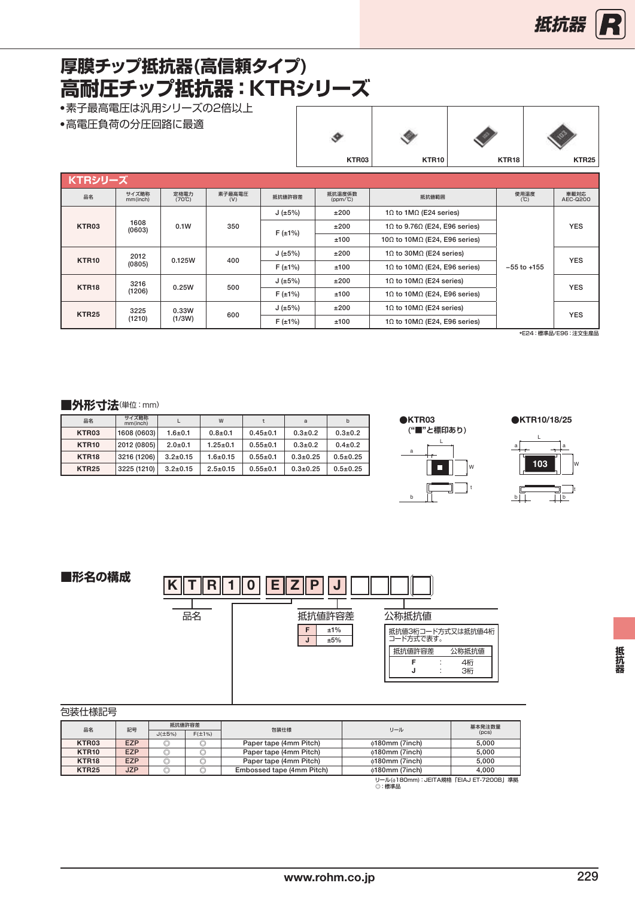# <span id="page-9-0"></span>**厚膜チップ抵抗器(高信頼タイプ) 高耐圧チップ抵抗器:KTRシリーズ**

●素子最高電圧は汎用シリーズの2倍以上

●高電圧負荷の分圧回路に最適

|                   |                   |                                |               |              |                             |                                               | $\checkmark$ |                   | v                 |
|-------------------|-------------------|--------------------------------|---------------|--------------|-----------------------------|-----------------------------------------------|--------------|-------------------|-------------------|
|                   |                   |                                |               |              | KTR03                       | KTR <sub>10</sub>                             |              | KTR <sub>18</sub> | KTR <sub>25</sub> |
| KTRシリーズ           |                   |                                |               |              |                             |                                               |              |                   |                   |
| 品名                | サイズ略称<br>mm(inch) | 定格電力<br>$(70^{\circ}\text{C})$ | 素子最高電圧<br>(V) | 抵抗值許容差       | 抵抗温度係数<br>$(ppm/^{\circ}C)$ | 抵抗値範囲                                         |              | 使用温度<br>(C)       | 車載対応<br>AEC-0200  |
|                   |                   |                                |               | J(±5%)       | ±200                        | 10 to 1MQ (E24 series)                        |              |                   |                   |
| KTR03             | 1608<br>(0603)    | 0.1W                           | 350           |              | ±200                        | 10 to 9.760 (E24, E96 series)                 |              |                   | <b>YES</b>        |
|                   |                   |                                |               | $F(\pm 1\%)$ | ±100                        | 10 $\Omega$ to 10M $\Omega$ (E24, E96 series) |              |                   |                   |
| KTR <sub>10</sub> | 2012              | 0.125W                         | 400           | J(±5%)       | ±200                        | 10 to 30MQ (E24 series)                       |              |                   | <b>YES</b>        |
|                   | (0805)            |                                |               | $F(\pm 1\%)$ | ±100                        | 10 to 10M $\Omega$ (E24, E96 series)          |              | $-55$ to $+155$   |                   |
| KTR <sub>18</sub> | 3216              | 0.25W                          | 500           | J(±5%)       | ±200                        | 10 to 10MQ (E24 series)                       |              |                   | <b>YES</b>        |
|                   | (1206)            |                                |               | $F(\pm 1\%)$ | ±100                        | 10 to 10M $\Omega$ (E24, E96 series)          |              |                   |                   |
| <b>KTR25</b>      | 3225              | 0.33W                          |               | J(±5%)       | ±200                        | 10 to 10MQ (E24 series)                       |              |                   |                   |
|                   | (1210)            | (1/3W)                         | 600           | $F(\pm 1\%)$ | ±100                        | 10 to 10MQ (E24, E96 series)                  |              |                   | <b>YES</b>        |

ø

Ó.

————————————————————<br>\*E24:標準品/E96:注文生産品

#### ■外形寸法(単位:mm)

| 品名                | サイズ略称<br>mm(inch) |                | W              |                | a            | b              |
|-------------------|-------------------|----------------|----------------|----------------|--------------|----------------|
| KTR03             | 1608 (0603)       | $1.6 + 0.1$    | $0.8 + 0.1$    | $0.45 \pm 0.1$ | $0.3 + 0.2$  | $0.3 + 0.2$    |
| KTR <sub>10</sub> | 2012 (0805)       | $2.0 + 0.1$    | $1.25 \pm 0.1$ | $0.55 \pm 0.1$ | $0.3 + 0.2$  | $0.4 \pm 0.2$  |
| KTR <sub>18</sub> | 3216 (1206)       | $3.2 \pm 0.15$ | $1.6 + 0.15$   | $0.55 \pm 0.1$ | $0.3 + 0.25$ | $0.5 \pm 0.25$ |
| <b>KTR25</b>      | 3225 (1210)       | $3.2 \pm 0.15$ | $2.5 \pm 0.15$ | $0.55 \pm 0.1$ | $0.3 + 0.25$ | $0.5 \pm 0.25$ |



a L a **●**KTR10/18/25



**■形名の構成**  $K$  TR10 EZPJ 品名 抵抗値許容差  $F \mid \pm 1\%$  $J \t\pm 5\%$ 公称抵抗値 抵抗値3桁コード方式又は抵抗値4桁 コード方式で表す。 抵抗値許容差 公称抵抗値 F J

| 包装仕様記号 |
|--------|
|--------|

| 品名                | 記号         | 抵抗值許容差       |                      |                           | リール                                         | 基本発注数量 |  |  |  |  |
|-------------------|------------|--------------|----------------------|---------------------------|---------------------------------------------|--------|--|--|--|--|
|                   |            | $J(\pm 5\%)$ | 包装仕様<br>$F(\pm 1\%)$ |                           |                                             | (pcs)  |  |  |  |  |
| KTR03             | <b>EZP</b> | w            |                      | Paper tape (4mm Pitch)    | $\phi$ 180mm (7inch)                        | 5.000  |  |  |  |  |
| KTR <sub>10</sub> | <b>EZP</b> | O            | ◡                    | Paper tape (4mm Pitch)    | $\phi$ 180mm (7inch)                        | 5.000  |  |  |  |  |
| KTR <sub>18</sub> | <b>EZP</b> | u            | ◡                    | Paper tape (4mm Pitch)    | $\phi$ 180mm (7inch)                        | 5.000  |  |  |  |  |
| <b>KTR25</b>      | <b>JZP</b> | ⊵            |                      | Embossed tape (4mm Pitch) | $\phi$ 180mm (7inch)                        | 4.000  |  |  |  |  |
|                   |            |              |                      |                           | ll_ll.(☆100mm): IEITA坦找「EIA I ET 7900D I 谁恤 |        |  |  |  |  |

**規格「EIAJ ET-72** リール(φ18)<br>◎:標準品

: : 4桁 3桁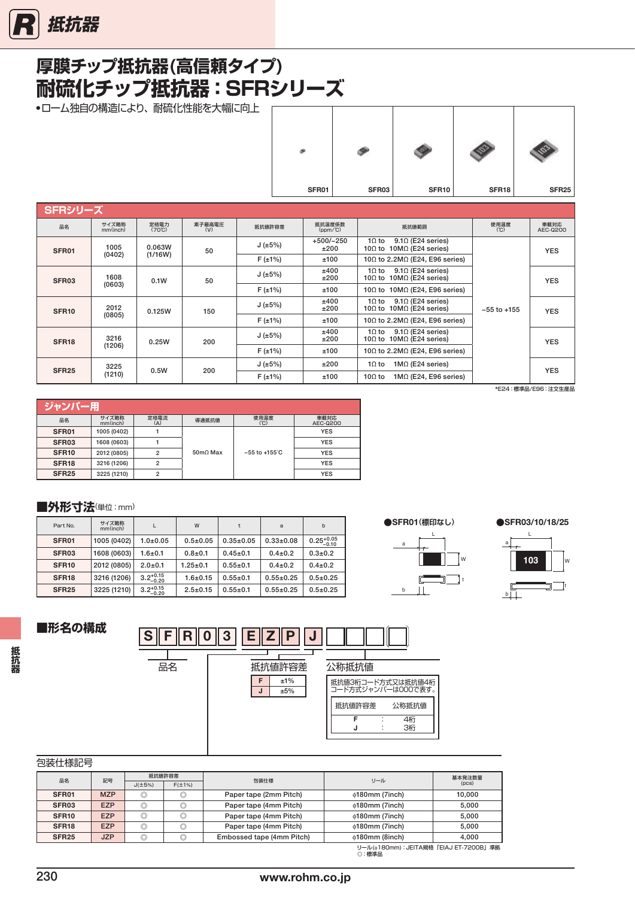# <span id="page-10-0"></span>**耐硫化チップ抵抗器:SFRシリーズ 厚膜チップ抵抗器(高信頼タイプ)**

●ローム独自の構造により、耐硫化性能を大幅に向上

| SFR01 | SFR03 | SFR10 | SFR18 | SFR <sub>25</sub> |
|-------|-------|-------|-------|-------------------|

| SFRシリーズ           |                   |                                |               |                 |                                               |                                                                                       |             |                  |  |  |  |  |  |  |     |        |              |                                                                                      |                 |            |
|-------------------|-------------------|--------------------------------|---------------|-----------------|-----------------------------------------------|---------------------------------------------------------------------------------------|-------------|------------------|--|--|--|--|--|--|-----|--------|--------------|--------------------------------------------------------------------------------------|-----------------|------------|
| 品名                | サイズ略称<br>mm(inch) | 定格電力<br>$(70^{\circ}\text{C})$ | 素子最高電圧<br>(V) | 抵抗値許容差          | 抵抗温度係数<br>$(ppm/^{\circ}C)$                   | 抵抗值範囲                                                                                 | 使用温度<br>(C) | 車載対応<br>AEC-Q200 |  |  |  |  |  |  |     |        |              |                                                                                      |                 |            |
| SFR01             | 1005              | 0.063W                         | 50            | J(±5%)          | $+500/-250$<br>±200                           | $1\Omega$ to<br>$9.1\Omega$ (E24 series)<br>10 $\Omega$ to 10M $\Omega$ (E24 series)  |             | <b>YES</b>       |  |  |  |  |  |  |     |        |              |                                                                                      |                 |            |
|                   | (1/16W)<br>(0402) |                                |               | $F(\pm 1\%)$    | ±100                                          | 10Ω to 2.2MΩ (E24, E96 series)                                                        |             |                  |  |  |  |  |  |  |     |        |              |                                                                                      |                 |            |
| SFR <sub>03</sub> | 1608              | 0.1W                           | 50            | J ( $\pm 5\%$ ) | ±400<br>±200                                  | $9.1\Omega$ (E24 series)<br>1 $\Omega$ to<br>10 $\Omega$ to 10M $\Omega$ (E24 series) |             | <b>YES</b>       |  |  |  |  |  |  |     |        |              |                                                                                      |                 |            |
|                   | (0603)            |                                | $F(\pm 1\%)$  | ±100            | 10 $\Omega$ to 10M $\Omega$ (E24, E96 series) |                                                                                       |             |                  |  |  |  |  |  |  |     |        |              |                                                                                      |                 |            |
| SFR <sub>10</sub> | 2012              |                                |               |                 | 0.125W                                        |                                                                                       |             |                  |  |  |  |  |  |  | 150 | J(±5%) | ±400<br>±200 | $9.1\Omega$ (E24 series)<br>$1\Omega$ to<br>10 $\Omega$ to 10M $\Omega$ (E24 series) | $-55$ to $+155$ | <b>YES</b> |
|                   | (0805)            |                                |               | $F(\pm 1\%)$    | ±100                                          | 10 $\Omega$ to 2.2M $\Omega$ (E24, E96 series)                                        |             |                  |  |  |  |  |  |  |     |        |              |                                                                                      |                 |            |
| SFR <sub>18</sub> | 3216              | 0.25W                          | 200           | J(±5%)          | ±400<br>±200                                  | $9.1\Omega$ (E24 series)<br>$1\Omega$ to<br>10 $\Omega$ to 10M $\Omega$ (E24 series)  |             | <b>YES</b>       |  |  |  |  |  |  |     |        |              |                                                                                      |                 |            |
|                   | (1206)            |                                |               | $F(\pm 1\%)$    | ±100                                          | 10 $\Omega$ to 2.2M $\Omega$ (E24, E96 series)                                        |             |                  |  |  |  |  |  |  |     |        |              |                                                                                      |                 |            |
| <b>SFR25</b>      | 3225              | 0.5W                           | 200           | J(±5%)          | ±200                                          | $1MΩ$ (E24 series)<br>$1\Omega$ to                                                    |             | <b>YES</b>       |  |  |  |  |  |  |     |        |              |                                                                                      |                 |            |
|                   | (1210)            |                                |               | $F(\pm 1\%)$    | ±100                                          | $1M$ $($ E24, E96 series)<br>10 $\Omega$ to                                           |             |                  |  |  |  |  |  |  |     |        |              |                                                                                      |                 |            |

\*E24:標準品/E96:注文生産品

| ジャンパー用            |                   |                |          |                           |                  |  |  |  |  |
|-------------------|-------------------|----------------|----------|---------------------------|------------------|--|--|--|--|
| 品名                | サイズ略称<br>mm(inch) | 定格電流<br>(A)    | 導通抵抗値    | 使用温度<br>(C)               | 車載対応<br>AEC-Q200 |  |  |  |  |
| SFR01             | 1005 (0402)       |                |          |                           | <b>YES</b>       |  |  |  |  |
| SFR <sub>03</sub> | 1608 (0603)       |                |          |                           | <b>YES</b>       |  |  |  |  |
| SFR <sub>10</sub> | 2012 (0805)       | $\overline{2}$ | 50mO Max | $-55$ to $+155^{\circ}$ C | <b>YES</b>       |  |  |  |  |
| SFR <sub>18</sub> | 3216 (1206)       | $\overline{2}$ |          |                           | <b>YES</b>       |  |  |  |  |
| SFR <sub>25</sub> | 3225 (1210)       | $\overline{2}$ |          |                           | <b>YES</b>       |  |  |  |  |

### ■外形寸法(単位:mm)

| Part No.          | サイズ略称<br>mm(inch) |                       | W              | t               | a               | b                      |
|-------------------|-------------------|-----------------------|----------------|-----------------|-----------------|------------------------|
| SFR01             | 1005 (0402)       | $1.0 + 0.05$          | $0.5 \pm 0.05$ | $0.35 \pm 0.05$ | $0.33 \pm 0.08$ | $0.25_{-0.10}^{+0.05}$ |
| SFR <sub>03</sub> | 1608 (0603)       | $1.6 + 0.1$           | $0.8 + 0.1$    | $0.45 \pm 0.1$  | $0.4 \pm 0.2$   | $0.3 + 0.2$            |
| SFR <sub>10</sub> | 2012 (0805)       | $2.0 + 0.1$           | $1.25 \pm 0.1$ | $0.55 + 0.1$    | $0.4 \pm 0.2$   | $0.4 \pm 0.2$          |
| SFR <sub>18</sub> | 3216 (1206)       | $3.2^{+0.15}_{-0.20}$ | $1.6 + 0.15$   | $0.55 + 0.1$    | $0.55+0.25$     | $0.5 \pm 0.25$         |
| <b>SFR25</b>      | 3225 (1210)       | $3.2^{+0.15}_{-0.20}$ | $2.5 \pm 0.15$ | $0.55 + 0.1$    | $0.55+0.25$     | $0.5 \pm 0.25$         |
|                   |                   |                       |                |                 |                 |                        |

 **●**SFR01**(標印なし) ●**SFR03/10/18/25





### **■形名の構成**

**抵抗器**

抵抗器



包装仕様記号

| <b>SIXILIANOU</b> J |            |                |              |                           |                                                  |        |
|---------------------|------------|----------------|--------------|---------------------------|--------------------------------------------------|--------|
| 品名                  | 記号         | 抵抗值許容差         |              | 包装仕様                      | リール                                              | 基本発注数量 |
|                     |            | $J(\pm 5\%)$   | $F(\pm 1\%)$ |                           |                                                  | (DCS)  |
| SFR01               | <b>MZP</b> | O              | O            | Paper tape (2mm Pitch)    | $\phi$ 180mm (7inch)                             | 10.000 |
| SFR <sub>03</sub>   | <b>EZP</b> | $\circledcirc$ | O            | Paper tape (4mm Pitch)    | $\phi$ 180mm (7inch)                             | 5,000  |
| SFR <sub>10</sub>   | <b>EZP</b> | $\circledcirc$ | O            | Paper tape (4mm Pitch)    | $\phi$ 180mm (7inch)                             | 5.000  |
| SFR <sub>18</sub>   | <b>EZP</b> | $\circledcirc$ | O            | Paper tape (4mm Pitch)    | $\phi$ 180mm (7inch)                             | 5.000  |
| SFR <sub>25</sub>   | <b>JZP</b> |                |              | Embossed tape (4mm Pitch) | $\phi$ 180mm (8inch)                             | 4.000  |
|                     |            |                |              |                           | リール(@180mm): JEITA規格「EIAJ ET-7200B」準拠<br>◎ : 標準品 |        |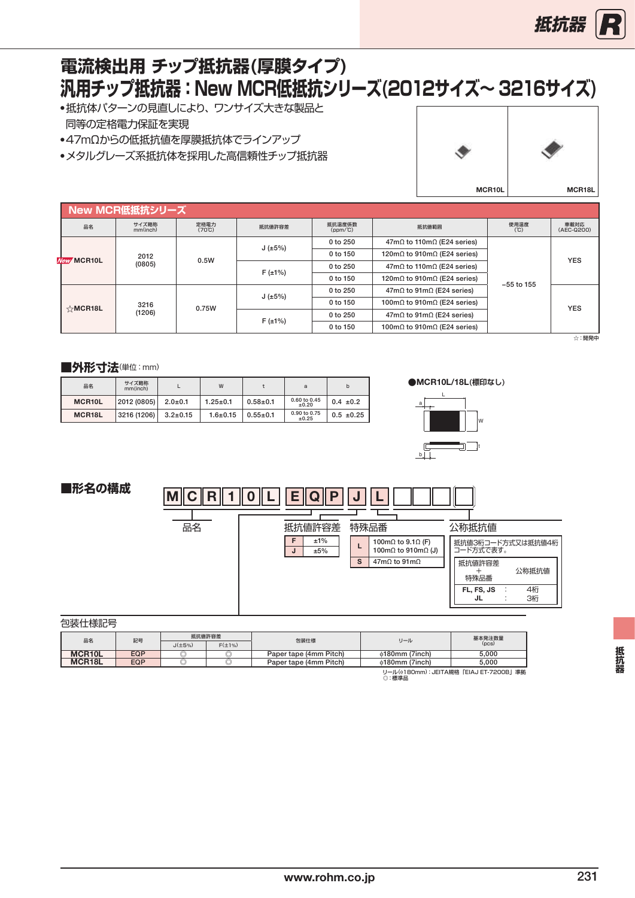

# <span id="page-11-0"></span>**汎用チップ抵抗器:New MCR低抵抗シリーズ(2012サイズ~ 3216サイズ) 電流検出用 チップ抵抗器(厚膜タイプ)**

- ●抵抗体パターンの見直しにより、ワンサイズ大きな製品と 同等の定格電力保証を実現
- ●47mΩからの低抵抗値を厚膜抵抗体でラインアップ
- ●メタルグレーズ系抵抗体を採用した高信頼性チップ抵抗器



|  |            | New MCR低抵抗シリーズ    |                         |                 |                      |                                             |                                             |                    |
|--|------------|-------------------|-------------------------|-----------------|----------------------|---------------------------------------------|---------------------------------------------|--------------------|
|  | 品名         | サイズ略称<br>mm(inch) | 定格電力<br>$(70^{\circ}C)$ | 抵抗值許容差          | 抵抗温度係数<br>$(ppm/^c)$ | 抵抗値範囲                                       | 使用温度<br>(C)                                 | 車載対応<br>(AEC-Q200) |
|  |            |                   |                         |                 | 0 to 250             | $47m\Omega$ to 110m $\Omega$ (E24 series)   |                                             |                    |
|  | New MCR10L | 2012<br>(0805)    | 0.5W                    | J(±5%)          | 0 to 150             | 120m $\Omega$ to 910m $\Omega$ (E24 series) | $-55$ to 155                                | <b>YES</b>         |
|  |            |                   |                         | $F(\pm 1\%)$    | 0 to 250             | $47m\Omega$ to 110m $\Omega$ (E24 series)   |                                             |                    |
|  |            |                   |                         |                 | 0 to 150             | 120m $\Omega$ to 910m $\Omega$ (E24 series) |                                             |                    |
|  |            |                   |                         | J ( $\pm 5\%$ ) | 0 to 250             | $47m\Omega$ to 91m $\Omega$ (E24 series)    |                                             |                    |
|  | ☆MCR18L    | 3216              | 0.75W                   |                 | 0 to 150             | 100m $\Omega$ to 910m $\Omega$ (E24 series) |                                             | <b>YES</b>         |
|  |            | (1206)            |                         | $F(\pm 1\%)$    | 0 to 250             | $47m\Omega$ to $91m\Omega$ (E24 series)     |                                             |                    |
|  |            |                   |                         |                 |                      | 0 to 150                                    | 100m $\Omega$ to 910m $\Omega$ (E24 series) |                    |

☆:開発中

#### ■外形寸法(単位:mm)

| 品名                  | サイズ略称<br>mm(inch) |                | W              |                | a                          |                |
|---------------------|-------------------|----------------|----------------|----------------|----------------------------|----------------|
| MCR <sub>10</sub> L | 2012 (0805)       | $2.0 \pm 0.1$  | $1.25 \pm 0.1$ | $0.58 + 0.1$   | 0.60 to 0.45<br>±0.20      | $0.4 \pm 0.2$  |
| MCR18L              | 3216 (1206)       | $3.2 \pm 0.15$ | $1.6 + 0.15$   | $0.55 \pm 0.1$ | 0.90 to 0.75<br>$\pm 0.25$ | $0.5 \pm 0.25$ |







包装仕様記号

| 品名                                        | 記号  | 抵抗值許容差       |              |                        | リール                  | 基本発注数量 |  |  |
|-------------------------------------------|-----|--------------|--------------|------------------------|----------------------|--------|--|--|
|                                           |     | $J(\pm 5\%)$ | $F(\pm 1\%)$ | 包装仕様                   |                      | (DCS)  |  |  |
| MCR <sub>10</sub> L                       | EQP |              | ◡            | Paper tape (4mm Pitch) | $\phi$ 180mm (7inch) | 5.000  |  |  |
| MCR <sub>18</sub> L                       | EQP |              |              | Paper tape (4mm Pitch) | $\phi$ 180mm (7inch) | 5.000  |  |  |
| II—II:(^180mm):IFITA損格「FIA.I FT-7200RI 淮圳 |     |              |              |                        |                      |        |  |  |

リール(ϕ180mm):JEITA規格「EIAJET-7200B」準拠 っ一ル(♥TB)<br>◎:標準品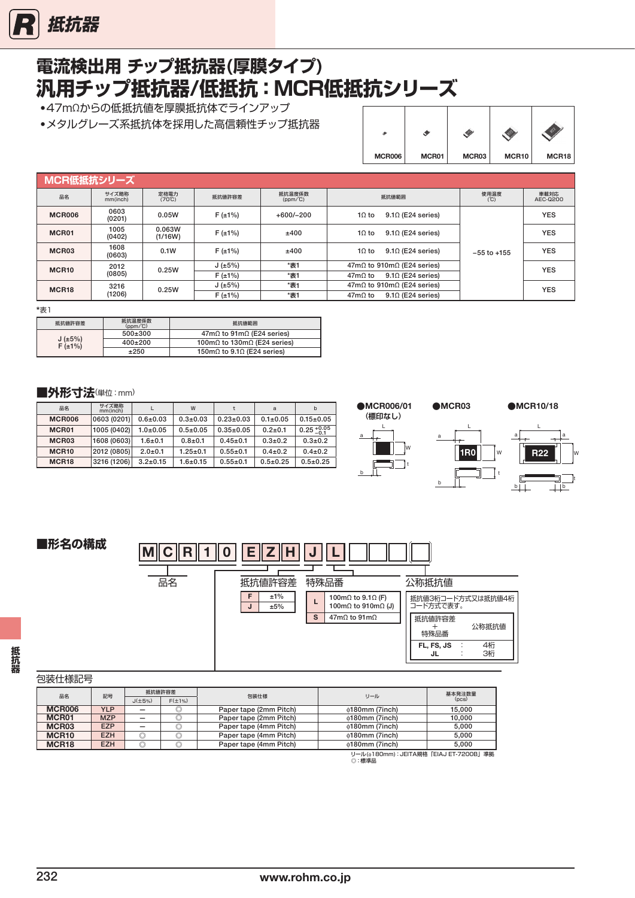

# **電流検出用 チップ抵抗器(厚膜タイプ) 汎用チップ抵抗器/低抵抗:MCR低抵抗シリーズ**

● 47mΩからの低抵抗値を厚膜抵抗体でラインアップ

● メタルグレーズ系抵抗体を採用した高信頼性チップ抵抗器

|               |       | œ     |       |       |
|---------------|-------|-------|-------|-------|
| <b>MCR006</b> | MCR01 | MCR03 | MCR10 | MCR18 |

| MCR低抵抗シリーズ        |                   |                         |                 |                      |                                            |                 |                  |
|-------------------|-------------------|-------------------------|-----------------|----------------------|--------------------------------------------|-----------------|------------------|
| 品名                | サイズ略称<br>mm(inch) | 定格電力<br>$(70^{\circ}C)$ | 抵抗值許容差          | 抵抗温度係数<br>$(ppm/^c)$ | 抵抗值範囲                                      | 使用温度<br>(C)     | 車載対応<br>AEC-Q200 |
| <b>MCR006</b>     | 0603<br>(0201)    | 0.05W                   | $F(\pm 1\%)$    | $+600/-200$          | $9.1\Omega$ (E24 series)<br>$10$ to        |                 | <b>YES</b>       |
| MCR01             | 1005<br>(0402)    | 0.063W<br>(1/16W)       | $F(\pm 1\%)$    | ±400                 | $9.1\Omega$ (E24 series)<br>$10$ to        |                 | <b>YES</b>       |
| MCR03             | 1608<br>(0603)    | 0.1W                    | $F(\pm 1\%)$    | ±400                 | $9.1\Omega$ (E24 series)<br>$10$ to        | $-55$ to $+155$ | <b>YES</b>       |
| MCR <sub>10</sub> | 2012              | 0.25W                   | J ( $\pm 5\%$ ) | *表1                  | $47m\Omega$ to 910m $\Omega$ (E24 series)  |                 | <b>YES</b>       |
|                   | (0805)            |                         | $F(\pm 1\%)$    | *表1                  | $9.1\Omega$ (E24 series)<br>$47m\Omega$ to |                 |                  |
| MCR <sub>18</sub> | 3216              | 0.25W                   | J(±5%)          | *表1                  | $47m\Omega$ to 910m $\Omega$ (E24 series)  |                 | <b>YES</b>       |
|                   | (1206)            |                         | $F(\pm 1\%)$    | *表1                  | $9.1\Omega$ (E24 series)<br>$47m\Omega to$ |                 |                  |

\*表1

| 抵抗值許容差                 | 抵抗温度係数<br>$(ppm/^{\circ}C)$ | 抵抗値範囲                                       |
|------------------------|-----------------------------|---------------------------------------------|
|                        | $500+300$                   | $47m\Omega$ to 91m $\Omega$ (E24 series)    |
| J(±5%)<br>$F(\pm 1\%)$ | $400+200$                   | 100m $\Omega$ to 130m $\Omega$ (E24 series) |
|                        | ±250                        | 150m $\Omega$ to 9.1 $\Omega$ (E24 series)  |

#### ■外形寸法(単位:mm)

| 品名                | サイズ略称<br>mm(inch) |                | W              |                 | a              | b               |
|-------------------|-------------------|----------------|----------------|-----------------|----------------|-----------------|
| <b>MCR006</b>     | 0603 (0201)       | $0.6 + 0.03$   | $0.3 + 0.03$   | $0.23 \pm 0.03$ | $0.1 \pm 0.05$ | $0.15 \pm 0.05$ |
| MCR01             | 1005 (0402)       | $1.0 + 0.05$   | $0.5 \pm 0.05$ | $0.35 \pm 0.05$ | $0.2 + 0.1$    | $0.25 + 0.05$   |
| MCR <sub>03</sub> | 1608 (0603)       | $1.6 + 0.1$    | $0.8 + 0.1$    | $0.45 \pm 0.1$  | $0.3 + 0.2$    | $0.3 + 0.2$     |
| MCR <sub>10</sub> | 2012 (0805)       | $2.0 + 0.1$    | $1.25 \pm 0.1$ | $0.55 \pm 0.1$  | $0.4 \pm 0.2$  | $0.4 \pm 0.2$   |
| MCR <sub>18</sub> | 3216 (1206)       | $3.2 \pm 0.15$ | $1.6 + 0.15$   | $0.55 \pm 0.1$  | $0.5 + 0.25$   | $0.5 \pm 0.25$  |



### **■形名の構成**

| $M\ C$<br>R | Ε               | $\overline{\phantom{a}}$        |                                                                         |                                |
|-------------|-----------------|---------------------------------|-------------------------------------------------------------------------|--------------------------------|
| 品名          | 抵抗値許容差          | 特殊品番                            |                                                                         | 公称抵抗值                          |
|             | ±1%<br>F<br>±5% | L                               | 100m $\Omega$ to 9.1 $\Omega$ (F)<br>100m $\Omega$ to 910m $\Omega$ (J) | 抵抗値3桁コード方式又は抵抗値4桁<br>コード方式で表す。 |
|             |                 | S<br>$47m\Omega$ to $91m\Omega$ |                                                                         | 抵抗値許容差<br>公称抵抗值<br>特殊品番        |
|             |                 |                                 |                                                                         | 4桁<br>FL, FS, JS<br>3桁<br>JL   |

| 包装仕様記号 |
|--------|
|--------|

| 2衣110对山勺          |            |                |              |                        |                                                  |        |
|-------------------|------------|----------------|--------------|------------------------|--------------------------------------------------|--------|
| 品名                | 記号         | 抵抗値許容差         |              | 包装仕様                   | リール                                              | 基本発注数量 |
|                   |            | $J(\pm 5\%)$   | $F(\pm 1\%)$ |                        |                                                  | (pcs)  |
| <b>MCR006</b>     | <b>YLP</b> |                | w            | Paper tape (2mm Pitch) | $\phi$ 180mm (7inch)                             | 15.000 |
| MCR01             | <b>MZP</b> |                |              | Paper tape (2mm Pitch) | $\phi$ 180mm (7inch)                             | 10.000 |
| MCR <sub>03</sub> | <b>EZP</b> |                | O            | Paper tape (4mm Pitch) | $\phi$ 180mm (7inch)                             | 5.000  |
| MCR <sub>10</sub> | <b>EZH</b> | $\circledcirc$ | O            | Paper tape (4mm Pitch) | $\phi$ 180mm (7inch)                             | 5.000  |
| MCR <sub>18</sub> | <b>EZH</b> | O              | O            | Paper tape (4mm Pitch) | $\phi$ 180mm (7inch)                             | 5.000  |
|                   |            |                |              |                        | リール(6180mm): JEITA規格「EIAJ ET-7200B」準拠<br>◎ : 標準品 |        |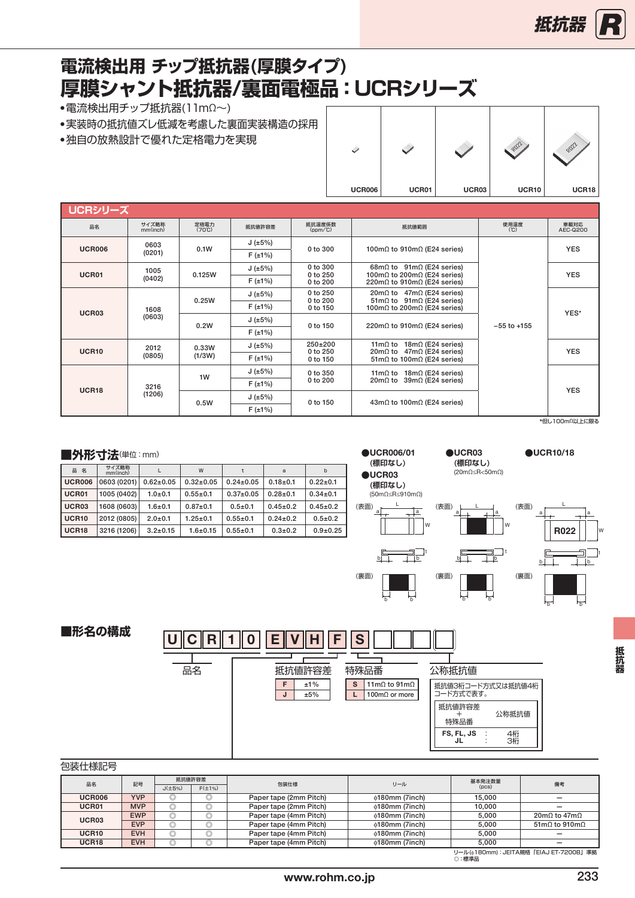# <span id="page-13-0"></span>**厚膜シャント抵抗器/裏面電極品:UCRシリーズ 電流検出用 チップ抵抗器(厚膜タイプ)**

● 電流検出用チップ抵抗器(11mΩ~)

- ●実装時の抵抗値ズレ低減を考慮した裏面実装構造の採用
- 独自の放熱設計で優れた定格電力を実現

|               |       |       | ROZZ  | ROZZ  |
|---------------|-------|-------|-------|-------|
| <b>UCR006</b> | UCR01 | UCR03 | UCR10 | UCR18 |

| UCRシリーズ       |                        |                         |                 |                                                                        |                                                                                                                       |                 |                  |
|---------------|------------------------|-------------------------|-----------------|------------------------------------------------------------------------|-----------------------------------------------------------------------------------------------------------------------|-----------------|------------------|
| 品名            | サイズ略称<br>mm(inch)      | 定格雷力<br>$(70^{\circ}C)$ | 抵抗值許容差          | 抵抗温度係数<br>$(ppm/^c)$                                                   | 抵抗値範囲                                                                                                                 | 使用温度<br>(C)     | 車載対応<br>AEC-0200 |
| <b>UCR006</b> | 0603                   | 0.1W                    | J(±5%)          | $0$ to $300$                                                           | 100m $\Omega$ to 910m $\Omega$ (E24 series)                                                                           |                 | <b>YES</b>       |
|               | (0201)                 |                         | $F(\pm 1\%)$    |                                                                        |                                                                                                                       |                 |                  |
| UCR01         | 1005                   | 0.125W                  | J ( $\pm 5\%$ ) | 0 to 300<br>$0$ to $250$                                               | $68m\Omega$ to $91m\Omega$ (E24 series)<br>100m $\Omega$ to 200m $\Omega$ (E24 series)                                |                 | <b>YES</b>       |
|               | (0402)                 |                         | $F(\pm 1\%)$    | 0 to 200                                                               | 220m $\Omega$ to 910m $\Omega$ (E24 series)                                                                           |                 |                  |
|               |                        | 0.25W                   | J(±5%)          | 0 to 250<br>0 to 200                                                   | $20 \text{m}\Omega$ to 47m $\Omega$ (E24 series)<br>$51 \text{m}\Omega$ to $91 \text{m}\Omega$ (E24 series)           | $-55$ to $+155$ |                  |
| UCR03         | 1608                   |                         | $F(\pm 1\%)$    | 0 to 150                                                               | 100m $\Omega$ to 200m $\Omega$ (E24 series)                                                                           |                 | YES*             |
|               | (0603)                 | 0.2W                    | J(±5%)          | 0 to 150                                                               | 220m $\Omega$ to 910m $\Omega$ (E24 series)                                                                           |                 |                  |
|               |                        |                         | $F(\pm 1\%)$    |                                                                        |                                                                                                                       |                 |                  |
| <b>UCR10</b>  | 2012                   | 0.33W                   | J(±5%)          | $250+200$<br>11m $\Omega$ to 18m $\Omega$ (E24 series)<br>$0$ to $250$ |                                                                                                                       | <b>YES</b>      |                  |
|               | (0805)                 | (1/3W)                  | $F(\pm 1\%)$    | 0 to 150                                                               | $20 \text{m} \Omega$ to $47 \text{m} \Omega$ (E24 series)<br>$51 \text{m}\Omega$ to $100 \text{m}\Omega$ (E24 series) |                 |                  |
|               |                        | 1W                      | J(±5%)          | 0 to 350                                                               | 11m $\Omega$ to 18m $\Omega$ (E24 series)                                                                             |                 |                  |
|               | 3216                   |                         | $F(\pm 1\%)$    | 0 to 200                                                               | $20 \text{m} \Omega$ to $39 \text{m} \Omega$ (E24 series)                                                             |                 | <b>YES</b>       |
|               | <b>UCR18</b><br>(1206) |                         | J(±5%)          | 0 to 150                                                               | $43m\Omega$ to 100m $\Omega$ (E24 series)                                                                             |                 |                  |
|               |                        | 0.5W                    | $F(\pm 1\%)$    |                                                                        |                                                                                                                       |                 |                  |
|               |                        |                         |                 |                                                                        |                                                                                                                       |                 | *但し100mΩ以上に限る    |

### ■外形寸法(単位:mm)

| ________          |                   |                 |                 |                 |                |                |
|-------------------|-------------------|-----------------|-----------------|-----------------|----------------|----------------|
| 品名                | サイズ略称<br>mm(inch) |                 | W               |                 | a              | b              |
| <b>UCR006</b>     | 0603 (0201)       | $0.62 \pm 0.05$ | $0.32 \pm 0.05$ | $0.24 \pm 0.05$ | $0.18 + 0.1$   | $0.22 \pm 0.1$ |
| UCR01             | 1005 (0402)       | $1.0 + 0.1$     | $0.55 \pm 0.1$  | $0.37+0.05$     | $0.28 + 0.1$   | $0.34 \pm 0.1$ |
| UCR03             | 1608 (0603)       | $1.6 + 0.1$     | $0.87+0.1$      | $0.5 + 0.1$     | $0.45 \pm 0.2$ | $0.45 \pm 0.2$ |
| <b>UCR10</b>      | 2012 (0805)       | $2.0 + 0.1$     | $1.25 \pm 0.1$  | $0.55 \pm 0.1$  | $0.24 \pm 0.2$ | $0.5 + 0.2$    |
| UCR <sub>18</sub> | 3216 (1206)       | $3.2 \pm 0.15$  | $1.6 + 0.15$    | $0.55 \pm 0.1$  | $0.3 + 0.2$    | $0.9 + 0.25$   |



a  $\overline{a}$ L

 $b \Box$ 

(表面)

(裏面)

b b

 $\frac{1}{b}$ 

W

(表面)

(裏面)

**●**UCR03 **●**UCR10/18 **(標印なし)** (20mΩ≤R<50mΩ)



**■形名の構成**  $C \Gamma$   $10$   $E$   $V$   $H$   $F$   $S$ 品名 | 抵抗値許容差  $F \mid \pm 1\%$  $J \mid \pm 5\%$ 特殊品番 S  $11 \text{ m}\Omega$  to  $91 \text{ m}\Omega$  $\overline{L}$  100m $\Omega$  or more 公称抵抗値 抵抗値3桁コード方式又は抵抗値4桁 コード方式で表す。 抵抗値許容差 + 特殊品番 公称抵抗値 FS, FL, JS '…⊔ : : 4桁 3桁

#### 包装仕様記号

| __________        |            |              |              |                        |                      |        |                                                 |  |  |
|-------------------|------------|--------------|--------------|------------------------|----------------------|--------|-------------------------------------------------|--|--|
| 品名                | 記号         |              | 抵抗值許容差       | 包装仕様                   | リール                  | 基本発注数量 | 備考                                              |  |  |
|                   |            | $J(\pm 5\%)$ | $F(\pm 1\%)$ |                        |                      | (DCS)  |                                                 |  |  |
| UCR006            | <b>YVP</b> | w            | O            | Paper tape (2mm Pitch) | $\phi$ 180mm (7inch) | 15.000 |                                                 |  |  |
| UCR01             | <b>MVP</b> |              |              | Paper tape (2mm Pitch) | $\phi$ 180mm (7inch) | 10.000 |                                                 |  |  |
| UCR03             | <b>EWP</b> | U)           | O            | Paper tape (4mm Pitch) | $\phi$ 180mm (7inch) | 5.000  | $20 \text{m} \Omega$ to $47 \text{m} \Omega$    |  |  |
|                   | <b>EVP</b> |              | O            | Paper tape (4mm Pitch) | $\phi$ 180mm (7inch) | 5.000  | $51 \text{m}$ . to $910 \text{m}$ .             |  |  |
| UCR <sub>10</sub> | <b>EVH</b> |              | U            | Paper tape (4mm Pitch) | $\phi$ 180mm (7inch) | 5.000  |                                                 |  |  |
| UCR <sub>18</sub> | <b>EVH</b> |              | O            | Paper tape (4mm Pitch) | $\phi$ 180mm (7inch) | 5.000  |                                                 |  |  |
|                   |            |              |              |                        |                      |        | 11 U (4100-00) LIFITA HEAR FELA LET TOOOD LIGHT |  |  |

抵抗婴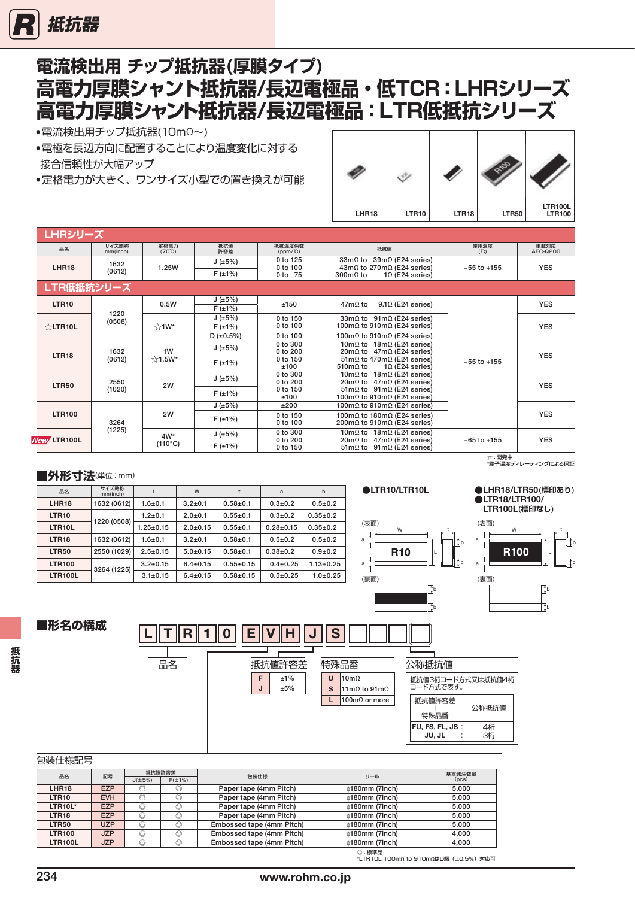<span id="page-14-0"></span>

# **電流検出用 チップ抵抗器(厚膜タイプ) 高電力厚膜シャント抵抗器/長辺電極品・低TCR:LHRシリーズ 高電力厚膜シャント抵抗器/長辺電極品:LTR低抵抗シリーズ**

- ●電流検出用チップ抵抗器(10mΩ~)
- ●電極を長辺方向に配置することにより温度変化に対する 接合信頼性が大幅アップ
- ●定格電力が大きく、ワンサイズ小型での置き換えが可能



| <u> LHRシリーズ </u> |                   |                                |                                       |                                      |                                                                                                                                                               |                 |                  |
|------------------|-------------------|--------------------------------|---------------------------------------|--------------------------------------|---------------------------------------------------------------------------------------------------------------------------------------------------------------|-----------------|------------------|
| 品名               | サイズ略称<br>mm(inch) | 定格電力<br>$(70^{\circ}\text{C})$ | 抵抗值<br>許容差                            | 抵抗温度係数<br>$(ppm/^c)$                 | 抵抗值                                                                                                                                                           | 使用温度<br>(C)     | 車載対応<br>AEC-Q200 |
| <b>LHR18</b>     | 1632<br>(0612)    | 1.25W                          | J(±5%)<br>$F(\pm 1\%)$                | 0 to 125<br>0 to 100<br>0 to 75      | $39m\Omega$ (E24 series)<br>$33m\Omega$ to<br>$43m\Omega$ to 270m $\Omega$ (E24 series)<br>$300 \text{m}$ $\Omega$ to<br>$1\Omega$ (E24 series)               | $-55$ to $+155$ | <b>YES</b>       |
| LTR低抵抗シリーズ       |                   |                                |                                       |                                      |                                                                                                                                                               |                 |                  |
| <b>LTR10</b>     |                   | 0.5W                           | J(±5%)<br>F(±1%)                      | ±150                                 | $9.1\Omega$ (E24 series)<br>$47m\Omega$ to                                                                                                                    |                 | <b>YES</b>       |
| $\&$ LTR10L      | 1220<br>(0508)    | $\frac{1}{2}$ 1W*              | J(±5%)<br>$F(\pm 1\%)$<br>$D$ (±0.5%) | 0 to 150<br>0 to 100<br>0 to 100     | $33m\Omega$ to $91m\Omega$ (E24 series)<br>100m $\Omega$ to 910m $\Omega$ (E24 series)<br>100m $\Omega$ to 910m $\Omega$ (E24 series)                         |                 | <b>YES</b>       |
| <b>LTR18</b>     | 1632<br>(0612)    | 1W<br>$\frac{1}{24}$ 1.5W*     | J(±5%)                                | $0$ to $300$<br>0 to 200<br>0 to 150 | 10m $\Omega$ to 18m $\Omega$ (E24 series)<br>$20 \text{m} \Omega$ to 47m $\Omega$ (E24 series)<br>$51 \text{m}\Omega$ to $470 \text{m}\Omega$ (E24 series)    | $-55$ to $+155$ | <b>YES</b>       |
|                  | 2550              |                                | $F(\pm 1\%)$<br>J(±5%)                | ±100<br>0 to 300<br>$0$ to $200$     | $10$ (E24 series)<br>510 $m\Omega$ to<br>10m $\Omega$ to 18m $\Omega$ (E24 series)<br>$20 \text{m}\Omega$ to 47m $\Omega$ (E24 series)                        |                 |                  |
| <b>LTR50</b>     | (1020)            | 2W                             | $F(\pm 1\%)$                          | 0 to 150<br>±100                     | $51 \text{m}\Omega$ to $91 \text{m}\Omega$ (E24 series)<br>100m $\Omega$ to 910m $\Omega$ (E24 series)                                                        |                 | <b>YES</b>       |
| <b>LTR100</b>    | 3264              | 2W                             | J(±5%)<br>$F(\pm 1\%)$                | ±200<br>0 to 150<br>0 to 100         | 100m $\Omega$ to 910m $\Omega$ (E24 series)<br>100m $\Omega$ to 180m $\Omega$ (E24 series)<br>200m $\Omega$ to 910m $\Omega$ (E24 series)                     |                 | <b>YES</b>       |
| New LTR100L      | (1225)            | $4W^*$<br>$(110^{\circ}C)$     | J(±5%)<br>$F(\pm 1\%)$                | 0 to 300<br>0 to 200<br>0 to 150     | 10m $\Omega$ to 18m $\Omega$ (E24 series)<br>$47m\Omega$ (E24 series)<br>$20 \text{m}$ $\Omega$ to<br>$51 \text{m}\Omega$ to $91 \text{m}\Omega$ (E24 series) | $-65$ to $+155$ | <b>YES</b>       |

#### ■外形寸法(単位:mm)

| 品名                | サイズ略称<br>mm(inch) |                 | W              |                 | a              | $b$             |
|-------------------|-------------------|-----------------|----------------|-----------------|----------------|-----------------|
| LHR <sub>18</sub> | 1632 (0612)       | $1.6 + 0.1$     | $3.2 + 0.1$    | $0.58 + 0.1$    | $0.3 + 0.2$    | $0.5 + 0.2$     |
| <b>LTR10</b>      | 1220 (0508)       | $1.2 + 0.1$     | $2.0 + 0.1$    | $0.55 \pm 0.1$  | $0.3 + 0.2$    | $0.35 \pm 0.2$  |
| LTR10L            |                   | $1.25 \pm 0.15$ | $2.0 + 0.15$   | $0.55 \pm 0.1$  | $0.28 + 0.15$  | $0.35 \pm 0.2$  |
| LTR <sub>18</sub> | 1632 (0612)       | $1.6 + 0.1$     | $3.2 + 0.1$    | $0.58 + 0.1$    | $0.5 + 0.2$    | $0.5 + 0.2$     |
| <b>LTR50</b>      | 2550 (1029)       | $2.5 \pm 0.15$  | $5.0 + 0.15$   | $0.58 + 0.1$    | $0.38 + 0.2$   | $0.9 + 0.2$     |
| <b>LTR100</b>     | 3264 (1225)       | $3.2 \pm 0.15$  | $6.4 \pm 0.15$ | $0.55 \pm 0.15$ | $0.4 \pm 0.25$ | $1.13 \pm 0.25$ |
| <b>LTR100L</b>    |                   | $3.1 \pm 0.15$  | $6.4 \pm 0.15$ | $0.58 + 0.15$   | $0.5 + 0.25$   | $1.0 + 0.25$    |
|                   |                   |                 |                |                 |                |                 |

#### ●LTR10/LTR10L ●LHR18/LTR50(標印あり)



# ☆:開発中<br>\*端子温度ディレーティングによる保証

#### **●**LTR18/LTR100/ LTR100L**(標印なし)**

#### (表面) W the set of the set of the set of the set of the set of the set of the set of the set of the set of the set o<br>The set of the set of the set of the set of the set of the set of the set of the set of the set of the set of  $a \frac{1}{1}$ b R100 L  $a \frac{1}{1}$ b (裏面) **li**b lTь

**■形名の構成**

**抵抗器**

抵抗器



石洪什拦印号

| 已衣止似叫了            |            |                |                |                           |                       |        |
|-------------------|------------|----------------|----------------|---------------------------|-----------------------|--------|
| 品名                | 記号         |                | 抵抗値許容差         | 包装仕様                      | リール                   | 基本発注数量 |
|                   |            | $J(\pm 5\%)$   | $F(\pm 1\%)$   |                           |                       | (pcs)  |
| LHR <sub>18</sub> | <b>EZP</b> | O              | O              | Paper tape (4mm Pitch)    | $\phi$ 180mm (7inch)  | 5.000  |
| LTR <sub>10</sub> | <b>EVH</b> | O              | $\circledcirc$ | Paper tape (4mm Pitch)    | <b>¢180mm (7inch)</b> | 5.000  |
| <b>LTR10L*</b>    | <b>EZP</b> | O              | O              | Paper tape (4mm Pitch)    | $\phi$ 180mm (7inch)  | 5.000  |
| LTR <sub>18</sub> | <b>EZP</b> | O              | $\circledcirc$ | Paper tape (4mm Pitch)    | $\phi$ 180mm (7inch)  | 5.000  |
| <b>LTR50</b>      | <b>UZP</b> | $\circledcirc$ | $\circledcirc$ | Embossed tape (4mm Pitch) | $\phi$ 180mm (7inch)  | 5.000  |
| <b>LTR100</b>     | <b>JZP</b> | O              | $\circledcirc$ | Embossed tape (4mm Pitch) | <b>¢180mm (7inch)</b> | 4.000  |
| <b>LTR100L</b>    | <b>JZP</b> | O              | $\circledcirc$ | Embossed tape (4mm Pitch) | $\phi$ 180mm (7inch)  | 4,000  |
|                   |            |                |                |                           | $\sim$ 1000 May 2001  |        |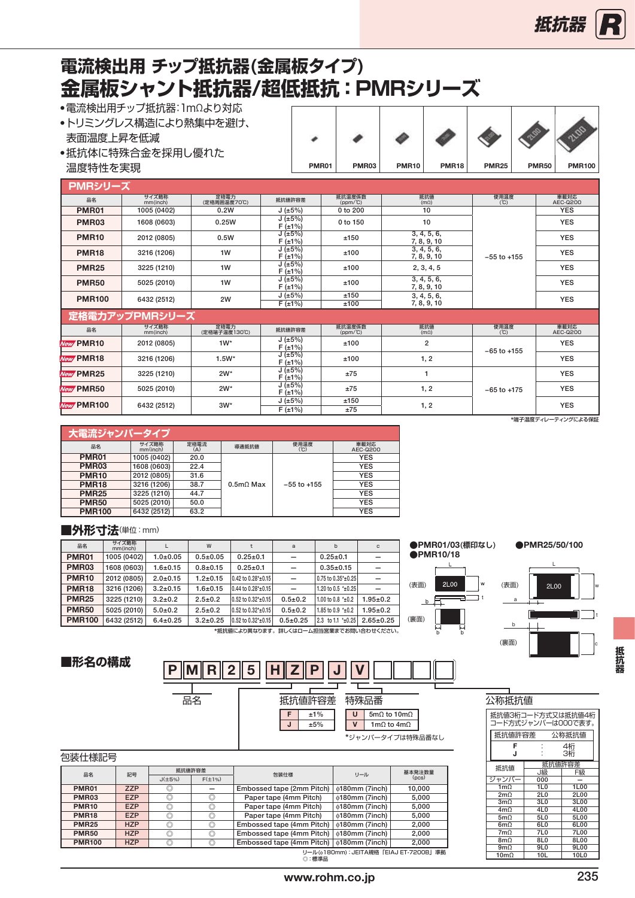### <span id="page-15-0"></span>**金属板シャント抵抗器/超低抵抗:PMRシリーズ 電流検出用 チップ抵抗器(金属板タイプ)**

●電流検出用チップ抵抗器:1mΩより対応

| - 电加强大山川ノ ノノ 北边 60 ・ ロ 124の ファッル<br>•トリミングレス構造により熱集中を避け、<br>表面温度上昇を低減<br>●抵抗体に特殊合金を採用し優れた |              |       |              |              |              |              |               |
|-------------------------------------------------------------------------------------------|--------------|-------|--------------|--------------|--------------|--------------|---------------|
| 温度特性を実現                                                                                   | <b>PMR01</b> | PMR03 | <b>PMR10</b> | <b>PMR18</b> | <b>PMR25</b> | <b>PMR50</b> | <b>PMR100</b> |
|                                                                                           |              |       |              |              |              |              |               |

| PMRシリーズ                   |                   |                       |                        |                      |                            |                 |                    |
|---------------------------|-------------------|-----------------------|------------------------|----------------------|----------------------------|-----------------|--------------------|
| 品名                        | サイズ略称<br>mm(inch) | 定格電力<br>(定格周囲温度70℃)   | 抵抗値許容差                 | 抵抗温度係数<br>$(ppm/^c)$ | 抵抗值<br>$(m\Omega)$         | 使用温度<br>(C)     | 車載対応<br>AEC-Q200   |
| <b>PMR01</b>              | 1005 (0402)       | 0.2W                  | J(±5%)                 | 0 to 200             | 10                         |                 | <b>YES</b>         |
| PMR03                     | 1608 (0603)       | 0.25W                 | J(±5%)<br>$F(\pm 1\%)$ | 0 to 150             | 10                         |                 | <b>YES</b>         |
| <b>PMR10</b>              | 2012 (0805)       | 0.5W                  | J(±5%)<br>$F(\pm 1\%)$ | ±150                 | 3, 4, 5, 6,<br>7, 8, 9, 10 |                 | <b>YES</b>         |
| <b>PMR18</b>              | 3216 (1206)       | 1W                    | J(±5%)<br>F(±1%)       | ±100                 | 3, 4, 5, 6,<br>7, 8, 9, 10 | $-55$ to $+155$ | <b>YES</b>         |
| <b>PMR25</b>              | 3225 (1210)       | 1W                    | J(±5%)<br>F(±1%)       | ±100                 | 2, 3, 4, 5                 |                 | <b>YES</b>         |
| <b>PMR50</b>              | 5025 (2010)       | 1W                    | J(±5%)<br>$F(\pm 1\%)$ | ±100                 | 3, 4, 5, 6,<br>7, 8, 9, 10 |                 | <b>YES</b>         |
| <b>PMR100</b>             | 6432 (2512)       | 2W                    | J(±5%)<br>F(±1%)       | ±150<br>±100         | 3, 4, 5, 6,<br>7, 8, 9, 10 |                 | <b>YES</b>         |
|                           | 定格電力アップPMRシリーズ    |                       |                        |                      |                            |                 |                    |
| 品名                        | サイズ略称<br>mm(inch) | 定格電力<br>(定格端子温度130°C) | 抵抗値許容差                 | 抵抗温度係数<br>$(ppm/^c)$ | 抵抗值<br>(m <sub>Ω</sub> )   | 使用温度<br>(C)     | 車載対応<br>AEC-0200   |
| New PMR10                 | 2012 (0805)       | $1W^*$                | J(±5%)<br>$F(\pm 1\%)$ | ±100                 | $\overline{2}$             | $-65$ to $+155$ | <b>YES</b>         |
| New PMR18                 | 3216 (1206)       | $1.5W^*$              | J(±5%)<br>F(±1%)       | ±100                 | 1, 2                       |                 | <b>YES</b>         |
| New PMR25                 | 3225 (1210)       | $2W^*$                | J(±5%)<br>F(±1%)       | ±75                  | -1                         |                 | <b>YES</b>         |
| New PMR50                 | 5025 (2010)       | $2W^*$                | J(±5%)<br>$F(\pm 1\%)$ | ±75                  | 1, 2                       | $-65$ to $+175$ | <b>YES</b>         |
| New PMR100<br>6432 (2512) | $3W^*$            | J(±5%)                | ±150                   | 1, 2                 |                            | <b>YES</b>      |                    |
|                           |                   |                       | $F(\pm 1\%)$           | ±75                  |                            |                 |                    |
|                           |                   |                       |                        |                      |                            |                 | *端子温度ディレーティングによる保証 |

| 大電流ジャンパータイプ   |                   |             |             |                 |                  |
|---------------|-------------------|-------------|-------------|-----------------|------------------|
| 品名            | サイズ略称<br>mm(inch) | 定格電流<br>(A) | 導通抵抗値       | 使用温度<br>(C)     | 車載対応<br>AEC-Q200 |
| <b>PMR01</b>  | 1005 (0402)       | 20.0        |             |                 | <b>YES</b>       |
| <b>PMR03</b>  | 1608 (0603)       | 22.4        |             |                 | <b>YES</b>       |
| <b>PMR10</b>  | 2012 (0805)       | 31.6        |             |                 | <b>YES</b>       |
| <b>PMR18</b>  | 3216 (1206)       | 38.7        | $0.5m0$ Max | $-55$ to $+155$ | <b>YES</b>       |
| <b>PMR25</b>  | 3225 (1210)       | 44.7        |             |                 | <b>YES</b>       |
| <b>PMR50</b>  | 5025 (2010)       | 50.0        |             |                 | <b>YES</b>       |
| <b>PMR100</b> | 6432 (2512)       | 63.2        |             |                 | <b>YES</b>       |

#### **■外形寸法**(単位:mm)

| 品名            | サイズ略称<br>mm(inch) |                | W             |                             | $\overline{a}$           | b                        | $\mathbf C$     |
|---------------|-------------------|----------------|---------------|-----------------------------|--------------------------|--------------------------|-----------------|
| <b>PMR01</b>  | 1005 (0402)       | $1.0 + 0.05$   | $0.5 + 0.05$  | $0.25 \pm 0.1$              |                          | $0.25 \pm 0.1$           |                 |
| <b>PMR03</b>  | 1608 (0603)       | $1.6 + 0.15$   | $0.8 + 0.15$  | $0.25 \pm 0.1$              |                          | $0.35 \pm 0.15$          |                 |
| <b>PMR10</b>  | 2012 (0805)       | $2.0 + 0.15$   | $1.2 + 0.15$  | 0.42 to 0.28*±0.15          | $\overline{\phantom{0}}$ | 0.75 to 0.35*±0.25       |                 |
| <b>PMR18</b>  | 3216 (1206)       | $3.2 \pm 0.15$ | $1.6 + 0.15$  | $0.44$ to $0.28*_{\pm}0.15$ | $\overline{\phantom{0}}$ | 1.20 to 0.5 $*$ +0.25    |                 |
| <b>PMR25</b>  | 3225 (1210)       | $3.2 \pm 0.2$  | $2.5 \pm 0.2$ | 0.52 to 0.32*±0.15          | $0.5 + 0.2$              | 1.00 to 0.8 $*_{\pm}0.2$ | $1.95 \pm 0.2$  |
| <b>PMR50</b>  | 5025 (2010)       | $5.0 + 0.2$    | $2.5 \pm 0.2$ | 0.52 to 0.32*±0.15          | $0.5 + 0.2$              | 1.85 to 0.9 $*_{\pm}0.2$ | $1.95 \pm 0.2$  |
| <b>PMR100</b> | 6432 (2512)       | $6.4 \pm 0.25$ | $3.2 + 0.25$  | $0.52$ to $0.32*$ ±0.15     | $0.5 \pm 0.25$           | 2.3 to 1.1 *±0.25        | $2.65 \pm 0.25$ |

\*抵抗値により異なります。詳しくはローム担当営業までお問い合わせください。





**■形名の構成**



| ムツ性ガル!                                  |                 |          |  |  |  |  |  |
|-----------------------------------------|-----------------|----------|--|--|--|--|--|
| 抵抗値3桁コード方式又は抵抗値4桁<br>コード方式ジャンパーは000で表す。 |                 |          |  |  |  |  |  |
| 抵抗値許容差                                  |                 | 公称抵抗值    |  |  |  |  |  |
| F<br>J                                  |                 | 4桁<br>3桁 |  |  |  |  |  |
| 抵抗值許容差<br>抵抗値<br>山級<br>F級               |                 |          |  |  |  |  |  |
| ジャンパー                                   | 000             |          |  |  |  |  |  |
| $1m\Omega$                              | 1L0             | 1L00     |  |  |  |  |  |
| 2m <sub>0</sub>                         | 2L <sub>0</sub> | 2L00     |  |  |  |  |  |
| 3m <sub>0</sub>                         | 3L <sub>0</sub> | 3L00     |  |  |  |  |  |
| 4m <sub>0</sub>                         | 4L <sub>0</sub> | 4L00     |  |  |  |  |  |
| 5m <sub>0</sub>                         | 5L <sub>0</sub> | 5L00     |  |  |  |  |  |
| 6m <sub>0</sub>                         | 6L <sub>0</sub> | 6L00     |  |  |  |  |  |
| 7m <sub>0</sub>                         | 7L <sub>0</sub> | 7L00     |  |  |  |  |  |
| $8m\Omega$                              | 8L <sub>0</sub> | 8L00     |  |  |  |  |  |
| 9m <sub>0</sub>                         | 9L <sub>0</sub> | 9L00     |  |  |  |  |  |
| $10m\Omega$                             | 10L             | 10L0     |  |  |  |  |  |

| 包装仕様記号 |
|--------|
|        |

| 品名            | 記号         | 抵抗值許容差         |              | 包装仕様                                       | リール                                   | 基本発注数量 |  |  |  |
|---------------|------------|----------------|--------------|--------------------------------------------|---------------------------------------|--------|--|--|--|
|               |            | $J(\pm 5\%)$   | $F(\pm 1\%)$ |                                            |                                       | (DCS)  |  |  |  |
| <b>PMR01</b>  | <b>ZZP</b> |                |              | Embossed tape (2mm Pitch)                  | $\phi$ 180mm (7inch)                  | 10.000 |  |  |  |
| <b>PMR03</b>  | <b>EZP</b> | $\circledcirc$ |              | Paper tape (4mm Pitch)                     | $\phi$ 180mm (7inch)                  | 5.000  |  |  |  |
| <b>PMR10</b>  | <b>EZP</b> | O              |              | Paper tape (4mm Pitch)                     | $\phi$ 180mm (7inch)                  | 5.000  |  |  |  |
| <b>PMR18</b>  | <b>EZP</b> | $\circledcirc$ |              | Paper tape (4mm Pitch)                     | $\phi$ 180mm (7inch)                  | 5,000  |  |  |  |
| <b>PMR25</b>  | <b>HZP</b> | $\circledcirc$ |              | Embossed tape (4mm Pitch)                  | $\phi$ 180mm (7inch)                  | 2.000  |  |  |  |
| <b>PMR50</b>  | <b>HZP</b> | $\circledcirc$ |              | Embossed tape (4mm Pitch)                  | ⊕180mm (7inch)                        | 2.000  |  |  |  |
| <b>PMR100</b> | <b>HZP</b> |                |              | Embossed tape (4mm Pitch)   0180mm (7inch) |                                       | 2.000  |  |  |  |
|               |            |                |              |                                            | リール(@180mm): JEITA規格「EIAJ ET-7200B」準拠 |        |  |  |  |

リール(φ Γε<br>◎:標準品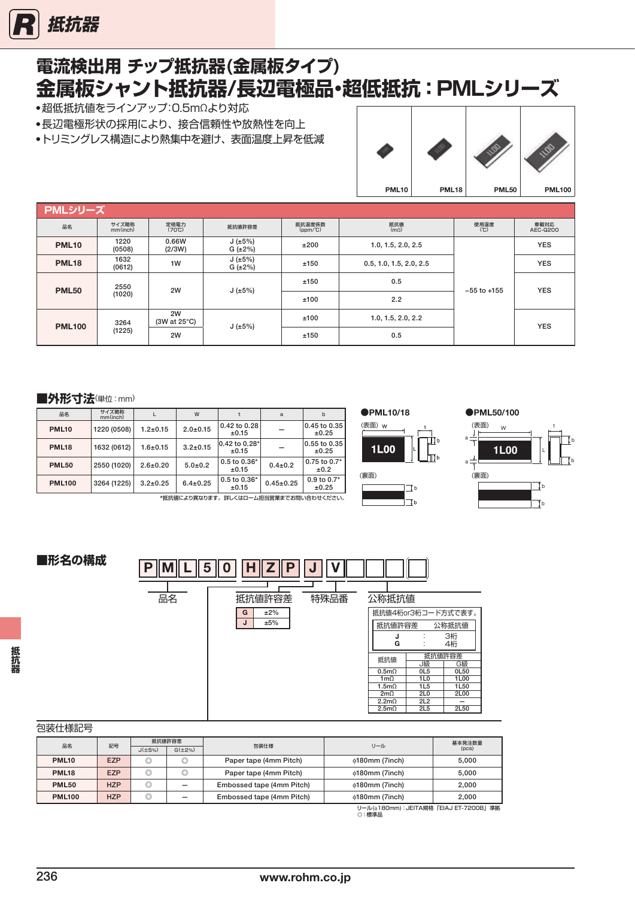<span id="page-16-0"></span>

# **電流検出用 チップ抵抗器(金属板タイプ) 金属板シャント抵抗器/長辺電極品・超低抵抗:PMLシリーズ**

●超低抵抗値をラインアップ:0.5mΩより対応

- ●長辺電極形状の採用により、接合信頼性や放熱性を向上
- ●トリミングレス構造により熱集中を避け、表面温度上昇を低減



| PMLシリーズ       |                   |                         |                         |                      |                         |                    |                  |            |
|---------------|-------------------|-------------------------|-------------------------|----------------------|-------------------------|--------------------|------------------|------------|
| 品名            | サイズ略称<br>mm(inch) | 定格電力<br>$(70^{\circ}C)$ | 抵抗値許容差                  | 抵抗温度係数<br>$(ppm/^c)$ | 抵抗值<br>$(m\Omega)$      | 使用温度<br>(C)        | 車載対応<br>AEC-Q200 |            |
| <b>PML10</b>  | 1220<br>(0508)    | 0.66W<br>(2/3W)         | J(±5%)<br>$G (\pm 2\%)$ | ±200                 | 1.0, 1.5, 2.0, 2.5      |                    | <b>YES</b>       |            |
| <b>PML18</b>  | 1632<br>(0612)    | 1W                      | J(±5%)<br>G(±2%)        | ±150                 | 0.5, 1.0, 1.5, 2.0, 2.5 | $-55$ to $+155$    | <b>YES</b>       |            |
| <b>PML50</b>  | 2550<br>(1020)    | 2W                      | J(±5%)                  | ±150                 | 0.5                     |                    | <b>YES</b>       |            |
|               |                   |                         |                         | ±100                 | 2.2                     |                    |                  |            |
| <b>PML100</b> | 3264<br>(1225)    | 2W                      | $(3W at 25^{\circ}C)$   |                      | ±100                    | 1.0, 1.5, 2.0, 2.2 |                  | <b>YES</b> |
|               |                   | 2W                      | J(±5%)                  | ±150                 | 0.5                     |                    |                  |            |

#### **■外形寸法**(単位:mm)

| 品名            | サイズ略称<br>mm(inch) |                | W              |                           | a               | b                        |
|---------------|-------------------|----------------|----------------|---------------------------|-----------------|--------------------------|
| <b>PML10</b>  | 1220 (0508)       | $1.2 \pm 0.15$ | $2.0 + 0.15$   | 0.42 to 0.28<br>±0.15     |                 | 0.45 to 0.35<br>±0.25    |
| <b>PML18</b>  | 1632 (0612)       | $1.6 + 0.15$   | $3.2 \pm 0.15$ | 0.42 to 0.28*<br>±0.15    |                 | 0.55 to 0.35<br>±0.25    |
| <b>PML50</b>  | 2550 (1020)       | $2.6 \pm 0.20$ | $5.0 + 0.2$    | $0.5$ to $0.36*$<br>±0.15 | $0.4 \pm 0.2$   | $0.75$ to $0.7*$<br>±0.2 |
| <b>PML100</b> | 3264 (1225)       | $3.2 \pm 0.25$ | $6.4 \pm 0.25$ | $0.5$ to $0.36*$<br>±0.15 | $0.45 \pm 0.25$ | $0.9$ to $0.7*$<br>±0.25 |

\*抵抗値により異なります。詳しくはローム担当営業までお問い合わせください。







**■形名の構成**



#### $\overline{H}$

| 巴衣山冰山了            |            |                |                |                           |                                                   |        |
|-------------------|------------|----------------|----------------|---------------------------|---------------------------------------------------|--------|
| 品名                |            | 抵抗値許容差         |                | 包装仕様                      | リール                                               | 基本発注数量 |
|                   | 記号         | $J(\pm 5\%)$   | $G(\pm 2\%)$   |                           |                                                   | (DCS)  |
| PML <sub>10</sub> | <b>EZP</b> | $\circledcirc$ | $\circledcirc$ | Paper tape (4mm Pitch)    | $\phi$ 180mm (7inch)                              | 5.000  |
| <b>PML18</b>      | <b>EZP</b> | $\circledcirc$ | $\circledcirc$ | Paper tape (4mm Pitch)    | $\phi$ 180mm (7inch)                              | 5.000  |
| <b>PML50</b>      | <b>HZP</b> | $\circledcirc$ |                | Embossed tape (4mm Pitch) | $\phi$ 180mm (7inch)                              | 2.000  |
| <b>PML100</b>     | <b>HZP</b> | $\circledcirc$ |                | Embossed tape (4mm Pitch) | $\phi$ 180mm (7inch)                              | 2.000  |
|                   |            |                |                |                           | <b>II—II.(^100mm): IEITA坦埃「EIA I ET 7900DI 谁伽</b> |        |

)mm) : JEITA規格「EIAJ ET-720 つール(φτα<br>◎:標準品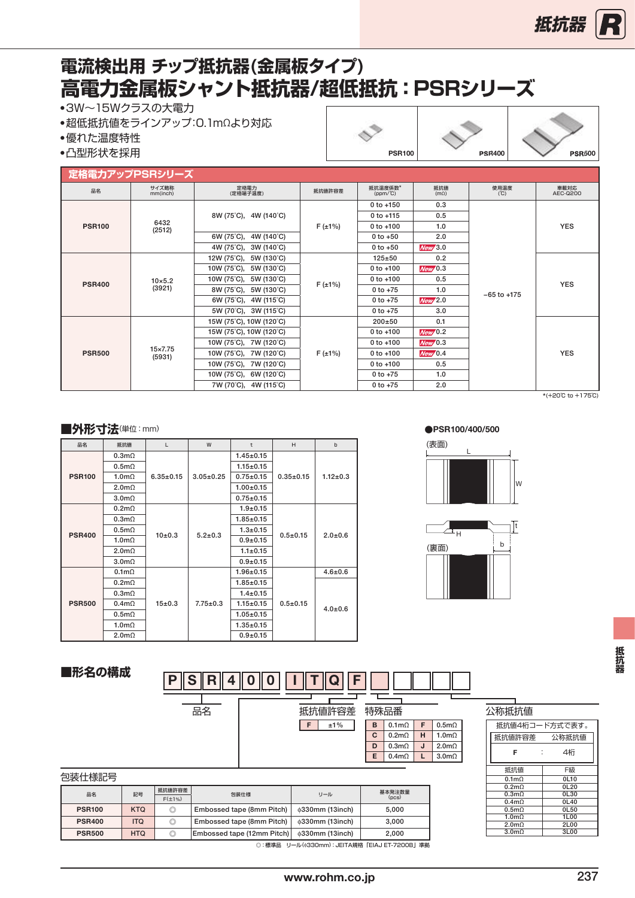### <span id="page-17-0"></span>**高電力金属板シャント抵抗器/超低抵抗:PSRシリーズ 電流検出用 チップ抵抗器(金属板タイプ)**

●3W~15Wクラスの大電力

●超低抵抗値をラインアップ:0.1mΩより対応

●優れた温度特性

●凸型形状を採用 PSR100 PSR400 PSR500

#### **定格電力アップPSRシリーズ**

|               | <b>ル悄电刀</b> アツノビDHンリー人   |                                             |              |                              |                      |                 |                  |
|---------------|--------------------------|---------------------------------------------|--------------|------------------------------|----------------------|-----------------|------------------|
| 品名            | サイズ略称<br>mm(inch)        | 定格電力<br>(定格端子温度)                            | 抵抗值許容差       | 抵抗温度係数*<br>$(ppm/^{\circ}C)$ | 抵抗值<br>$\frac{1}{2}$ | 使用温度<br>(℃)     | 車載対応<br>AEC-0200 |
|               |                          |                                             |              | $0$ to $+150$                | 0.3                  |                 |                  |
|               |                          | 8W (75°C), 4W (140°C)                       |              | $0$ to $+115$                | 0.5                  |                 |                  |
| <b>PSR100</b> | 6432<br>(2512)           |                                             | $F(\pm 1\%)$ | $0$ to $+100$                | 1.0                  |                 | <b>YES</b>       |
|               |                          | 6W (75°C), 4W (140°C)                       |              | $0 to +50$                   | 2.0                  |                 |                  |
|               |                          | 4W (75°C), 3W (140°C)                       |              | $0 to +50$                   | New/3.0              |                 |                  |
|               |                          | 12W (75°C), 5W (130°C)                      |              | $125 + 50$                   | 0.2                  |                 |                  |
|               | $10\times 5.2$<br>(3921) | $10W (75^{\circ}C)$ , 5W (130 $^{\circ}C$ ) | $F(\pm 1\%)$ | $0$ to $+100$                | New/0.3              | $-65$ to $+175$ | <b>YES</b>       |
| <b>PSR400</b> |                          | $10W (75^{\circ}C)$ , 5W (130 $^{\circ}C$ ) |              | $0$ to $+100$                | 0.5                  |                 |                  |
|               |                          | 8W (75°C), 5W (130°C)                       |              | $0 to +75$                   | 1.0                  |                 |                  |
|               |                          | 6W (75°C), 4W (115°C)                       |              | $0$ to $+75$                 | New/2.0              |                 |                  |
|               |                          | 5W (70°C), 3W (115°C)                       |              | $0$ to $+75$                 | 3.0                  |                 |                  |
|               |                          | 15W (75°C), 10W (120°C)                     |              | $200+50$                     | 0.1                  |                 |                  |
|               |                          | 15W (75°C), 10W (120°C)                     |              | $0$ to $+100$                | New/0.2              |                 |                  |
|               |                          | 10W (75°C), 7W (120°C)                      |              | $0$ to $+100$                | New/0.3              |                 |                  |
| <b>PSR500</b> | 15×7.75<br>(5931)        | 10W (75°C), 7W (120°C)                      | $F(\pm 1\%)$ | $0$ to $+100$                | New/0.4              |                 | <b>YES</b>       |
|               |                          | 10W (75°C), 7W (120°C)                      |              | $0 to +100$                  | 0.5                  |                 |                  |
|               |                          | $10W (75^{\circ}C)$ , 6W (120 $^{\circ}C$ ) |              | $0 to +75$                   | 1.0                  |                 |                  |
|               |                          | 7W (70°C), 4W (115°C)                       |              | $0 to +75$                   | 2.0                  |                 |                  |

\*(+20℃to+175℃)

#### ■外形寸法(単位:mm)

| 品名            | 抵抗值              | L               | W               | t               | H               | b              |
|---------------|------------------|-----------------|-----------------|-----------------|-----------------|----------------|
|               | $0.3m\Omega$     |                 |                 | $1.45 \pm 0.15$ |                 |                |
|               | $0.5m\Omega$     |                 |                 | $1.15 \pm 0.15$ |                 |                |
| <b>PSR100</b> | $1.0m\Omega$     | $6.35 \pm 0.15$ | $3.05 \pm 0.25$ | $0.75 + 0.15$   | $0.35 \pm 0.15$ | $1.12 \pm 0.3$ |
|               | $2.0m\Omega$     |                 |                 | $1.00 + 0.15$   |                 |                |
|               | 3.0 <sub>m</sub> |                 |                 | $0.75 \pm 0.15$ |                 |                |
|               | $0.2m\Omega$     |                 |                 | $1.9 + 0.15$    |                 |                |
|               | $0.3m\Omega$     |                 |                 | $1.85 \pm 0.15$ |                 | $2.0 + 0.6$    |
| <b>PSR400</b> | $0.5m\Omega$     | 10±0.3          | $5.2 \pm 0.3$   | $1.3 + 0.15$    | $0.5 + 0.15$    |                |
|               | $1.0m\Omega$     |                 |                 | $0.9 + 0.15$    |                 |                |
|               | $2.0m\Omega$     |                 |                 | $1.1 \pm 0.15$  |                 |                |
|               | 3.0 <sub>m</sub> |                 |                 | $0.9 + 0.15$    |                 |                |
|               | $0.1m\Omega$     |                 |                 | $1.96 \pm 0.15$ |                 | $4.6 + 0.6$    |
|               | $0.2m\Omega$     |                 |                 | $1.85 \pm 0.15$ |                 |                |
|               | $0.3m\Omega$     |                 |                 | $1.4 \pm 0.15$  |                 |                |
| <b>PSR500</b> | $0.4m\Omega$     | 15±0.3          | $7.75 \pm 0.3$  | $1.15 \pm 0.15$ | $0.5 + 0.15$    | $4.0 \pm 0.6$  |
|               | $0.5m\Omega$     |                 |                 | $1.05 \pm 0.15$ |                 |                |
|               | $1.0m\Omega$     |                 |                 | $1.35 \pm 0.15$ |                 |                |
|               | $2.0m\Omega$     |                 |                 | $0.9 + 0.15$    |                 |                |

#### ●PSR100/400/500





公称抵抗値

抵抗値4桁コード方式で表す。 抵抗値許容差 公称抵抗値 F : 4桁 抵抗値 F級<br>0.1m $\Omega$  0L10  $0.1mΩ$  0L10<br>  $0.2mΩ$  0L20<br>  $0.3mΩ$  0L30  $\begin{array}{c|c}\n 0.2 \text{m}\Omega & 0 \text{L}20 \\
\hline\n 0.3 \text{m}\Omega & 0 \text{L}30\n \end{array}$  $\begin{array}{c|c}\n 0.4 \text{mA} \\
\hline\n 0.5 \text{mA}\n \end{array}$  0L40  $\begin{array}{c|c} 1.0\text{m}\Omega & 1\text{L}00 \ \hline 2.0\text{m}\Omega & 2\text{L}00 \ \hline 3.0\text{m}\Omega & 3\text{L}00 \end{array}$ 

抵抗器

| S<br>P<br>R |          |   |              |   |               |  |
|-------------|----------|---|--------------|---|---------------|--|
| 品名          | 抵抗値許容差   |   | 特殊品番         |   |               |  |
|             | ±1%<br>F | в | $0.1m\Omega$ | F | $0.5m\Omega$  |  |
|             |          | C | $0.2m\Omega$ | н | 1.0m $\Omega$ |  |
|             |          | D | $0.3m\Omega$ | J | $2.0m\Omega$  |  |
|             |          | E | $0.4m\Omega$ | L | $3.0m\Omega$  |  |

| 包装仕様記号 |  |
|--------|--|
|--------|--|

**■形名の構成**

| ビセンエントロー      |            |                |                            |                                      |        |
|---------------|------------|----------------|----------------------------|--------------------------------------|--------|
| 品名            | 記号         | 抵抗值許容差         | 包装仕様                       | リール                                  | 基本発注数量 |
|               |            | $F(\pm 1\%)$   |                            |                                      | (DCS)  |
| <b>PSR100</b> | <b>KTQ</b> | $\circledcirc$ | Embossed tape (8mm Pitch)  | 0330mm (13inch)                      | 5.000  |
| <b>PSR400</b> | <b>ITQ</b> | $\circledcirc$ | Embossed tape (8mm Pitch)  | $\phi$ 330mm (13inch)                | 3.000  |
| <b>PSR500</b> | <b>HTQ</b> | $\circledcirc$ | Embossed tape (12mm Pitch) | <b>¢330mm (13inch)</b>               | 2.000  |
|               |            |                | ◎ : 標淮品                    | リール(@330mm):JEITA規格「EIAJ ET-7200B」準拠 |        |

◎:標準品 リール(ϕ330mm):JEITA規格「EIAJET-7200B」準拠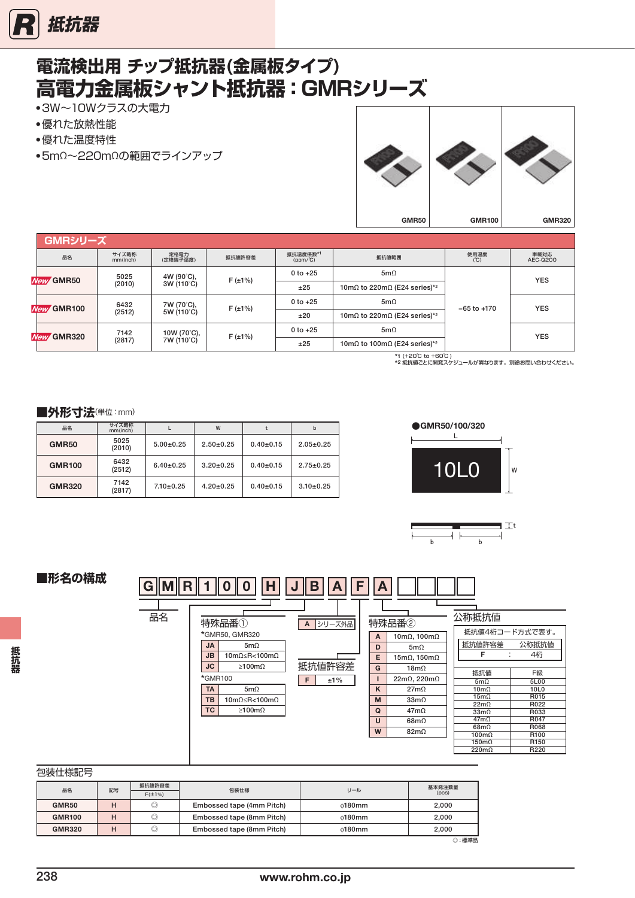<span id="page-18-0"></span>

# **電流検出用 チップ抵抗器(金属板タイプ) 高電力金属板シャント抵抗器:GMRシリーズ**

- 3W~10Wクラスの大電力
- 優れた放熱性能
- 優れた温度特性
- 5mΩ〜220mΩの範囲でラインアップ



|                              | GMRシリーズ    |                                 |                  |              |                               |                                              |                 |                  |  |
|------------------------------|------------|---------------------------------|------------------|--------------|-------------------------------|----------------------------------------------|-----------------|------------------|--|
|                              | 品名         | サイズ略称<br>mm(inch)               | 定格電力<br>(定格端子温度) | 抵抗値許容差       | 抵抗温度係数*1<br>$(ppm/^{\circ}C)$ | 抵抗値範囲                                        | 使用温度<br>(C)     | 車載対応<br>AEC-0200 |  |
|                              |            | 4W (90°C),<br>5025<br>New GMR50 |                  | $F(\pm 1\%)$ | $0 to +25$                    | $5m\Omega$                                   |                 | <b>YES</b>       |  |
|                              |            | (2010)                          | 3W (110°C)       |              | ±25                           | 10m $\Omega$ to 220m $\Omega$ (E24 series)*2 |                 |                  |  |
|                              | New GMR100 | 6432                            | 7W (70°C),       |              | $0$ to $+25$                  | $5m\Omega$                                   | $-65$ to $+170$ | <b>YES</b>       |  |
|                              |            | (2512)<br>5W (110°C)            |                  | $F(\pm 1\%)$ | ±20                           | 10m $\Omega$ to 220m $\Omega$ (E24 series)*2 |                 |                  |  |
| <b>GMR320</b><br><b>New/</b> |            | 7142                            | 10W (70°C),      | $F(\pm 1\%)$ | $0$ to $+25$                  | $5m\Omega$                                   |                 | <b>YES</b>       |  |
|                              |            | (2817)<br>7W (110°C)            |                  |              | ±25                           | 10m $\Omega$ to 100m $\Omega$ (E24 series)*2 |                 |                  |  |

\*1 (+20℃ to +60℃ ) \*2 抵抗値ごとに開発スケジュールが異なります。別途お問い合わせください。

#### ■外形寸法(単位:mm)

| 品名            | サイズ略称<br>mm(inch) |                 | W               |             | b               |
|---------------|-------------------|-----------------|-----------------|-------------|-----------------|
| <b>GMR50</b>  | 5025<br>(2010)    | $5.00+0.25$     | $2.50+0.25$     | $0.40+0.15$ | $2.05 \pm 0.25$ |
| <b>GMR100</b> | 6432<br>(2512)    | $6.40 \pm 0.25$ | $3.20 \pm 0.25$ | $0.40+0.15$ | $2.75 \pm 0.25$ |
| <b>GMR320</b> | 7142<br>(2817)    | $7.10 \pm 0.25$ | $4.20 \pm 0.25$ | $0.40+0.15$ | $3.10 \pm 0.25$ |





### **■形名の構成**

|    |                                                                                            | в           |        |                            |                                     |                          |  |
|----|--------------------------------------------------------------------------------------------|-------------|--------|----------------------------|-------------------------------------|--------------------------|--|
| 品名 | 特殊品番①                                                                                      | シリーズ外品<br>A |        | 特殊品番2                      | 公称抵抗值                               |                          |  |
|    | *GMR50, GMR320                                                                             |             | Α      | 10mΩ, 100mΩ                | 抵抗値4桁コード方式で表す。                      |                          |  |
|    | <b>JA</b><br>$5m\Omega$                                                                    |             | D      | 5m $\Omega$                | 抵抗値許容差<br>F                         | 公称抵抗值<br>4桁              |  |
|    | <b>JB</b><br>10m $\Omega \le R < 100$ m $\Omega$<br><b>JC</b><br>$\geq 100 \text{m}\Omega$ | 抵抗值許容差      | E<br>G | 15mΩ, 150mΩ<br>$18m\Omega$ |                                     |                          |  |
|    | *GMR100<br>F<br>±1%                                                                        |             |        | $22m\Omega$ , $220m\Omega$ | 抵抗値<br>$5m\Omega$                   | F級<br>5L00               |  |
|    | <b>TA</b><br>$5m\Omega$                                                                    |             | K      | $27m\Omega$                | $10 \text{m}\Omega$                 | 10L0                     |  |
|    | <b>TB</b><br>10m $\Omega \le R < 100$ m $\Omega$                                           |             | M      | $33m\Omega$                | $15m\Omega$<br>$22m\Omega$          | R015<br>R022             |  |
|    | <b>TC</b><br>$\geq 100 \text{m}\Omega$                                                     |             | Q      | $47m\Omega$                | $33m\Omega$                         | R033                     |  |
|    |                                                                                            |             | U      | $68m\Omega$                | $47m\Omega$                         | R047                     |  |
|    |                                                                                            |             | W      | $82m\Omega$                | $68m\Omega$<br>$100 \text{m}\Omega$ | R068<br>R <sub>100</sub> |  |
|    |                                                                                            |             |        |                            | $150 \text{m}\Omega$                | R <sub>150</sub>         |  |
|    |                                                                                            |             |        |                            | $220m\Omega$                        | R220                     |  |

#### 包装仕様記号

**抵抗器**

抵抗婴

| ____________  |    |              |                           |                |        |  |
|---------------|----|--------------|---------------------------|----------------|--------|--|
| 品名            | 記号 | 抵抗値許容差       | 包装仕様                      | リール            | 基本発注数量 |  |
|               |    | $F(\pm 1\%)$ |                           |                | (pcs)  |  |
| <b>GMR50</b>  |    | O            | Embossed tape (4mm Pitch) | $\phi$ 180mm   | 2,000  |  |
| <b>GMR100</b> | н  | O            | Embossed tape (8mm Pitch) | $\phi$ 180mm   | 2.000  |  |
| <b>GMR320</b> | н  | O            | Embossed tape (8mm Pitch) | $\delta$ 180mm | 2.000  |  |
|               |    |              |                           |                | :標準品   |  |